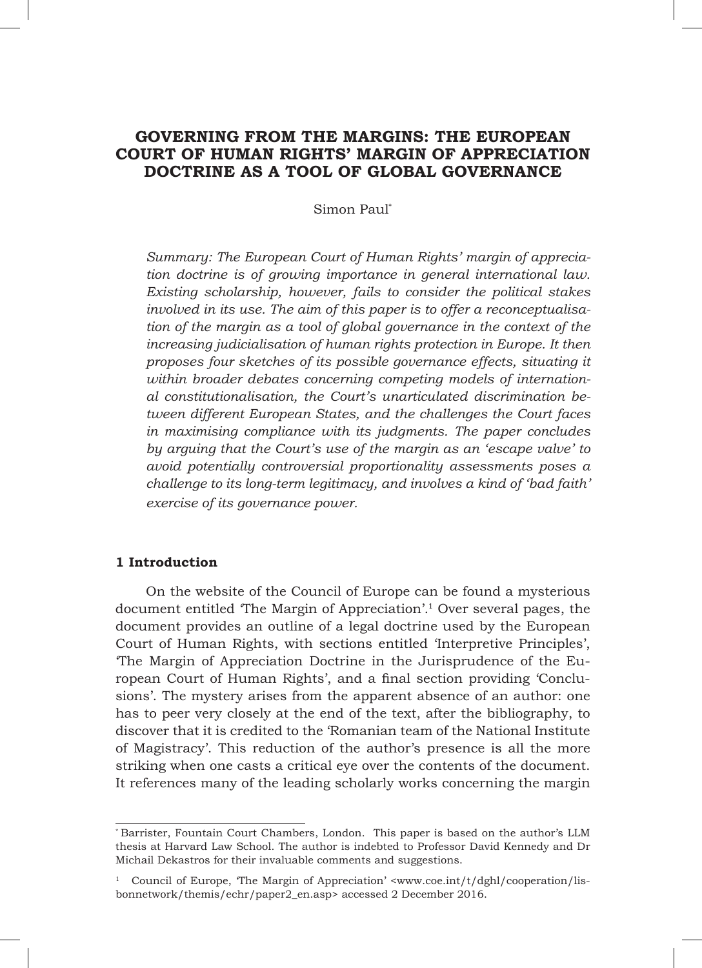# **GOVERNING FROM THE MARGINS: THE EUROPEAN COURT OF HUMAN RIGHTS' MARGIN OF APPRECIATION DOCTRINE AS A TOOL OF GLOBAL GOVERNANCE**

### Simon Paul\*

*Summary: The European Court of Human Rights' margin of appreciation doctrine is of growing importance in general international law. Existing scholarship, however, fails to consider the political stakes involved in its use. The aim of this paper is to offer a reconceptualisation of the margin as a tool of global governance in the context of the increasing judicialisation of human rights protection in Europe. It then proposes four sketches of its possible governance effects, situating it within broader debates concerning competing models of international constitutionalisation, the Court's unarticulated discrimination between different European States, and the challenges the Court faces in maximising compliance with its judgments. The paper concludes by arguing that the Court's use of the margin as an 'escape valve' to avoid potentially controversial proportionality assessments poses a challenge to its long-term legitimacy, and involves a kind of 'bad faith' exercise of its governance power.*

### **1 Introduction**

On the website of the Council of Europe can be found a mysterious document entitled 'The Margin of Appreciation'.<sup>1</sup> Over several pages, the document provides an outline of a legal doctrine used by the European Court of Human Rights, with sections entitled 'Interpretive Principles', 'The Margin of Appreciation Doctrine in the Jurisprudence of the European Court of Human Rights', and a final section providing 'Conclusions'. The mystery arises from the apparent absence of an author: one has to peer very closely at the end of the text, after the bibliography, to discover that it is credited to the 'Romanian team of the National Institute of Magistracy'. This reduction of the author's presence is all the more striking when one casts a critical eye over the contents of the document. It references many of the leading scholarly works concerning the margin

<sup>\*</sup> Barrister, Fountain Court Chambers, London. This paper is based on the author's LLM thesis at Harvard Law School. The author is indebted to Professor David Kennedy and Dr Michail Dekastros for their invaluable comments and suggestions.

Council of Europe, The Margin of Appreciation'  $\langle$ www.coe.int/t/dghl/cooperation/lisbonnetwork/themis/echr/paper2\_en.asp> accessed 2 December 2016.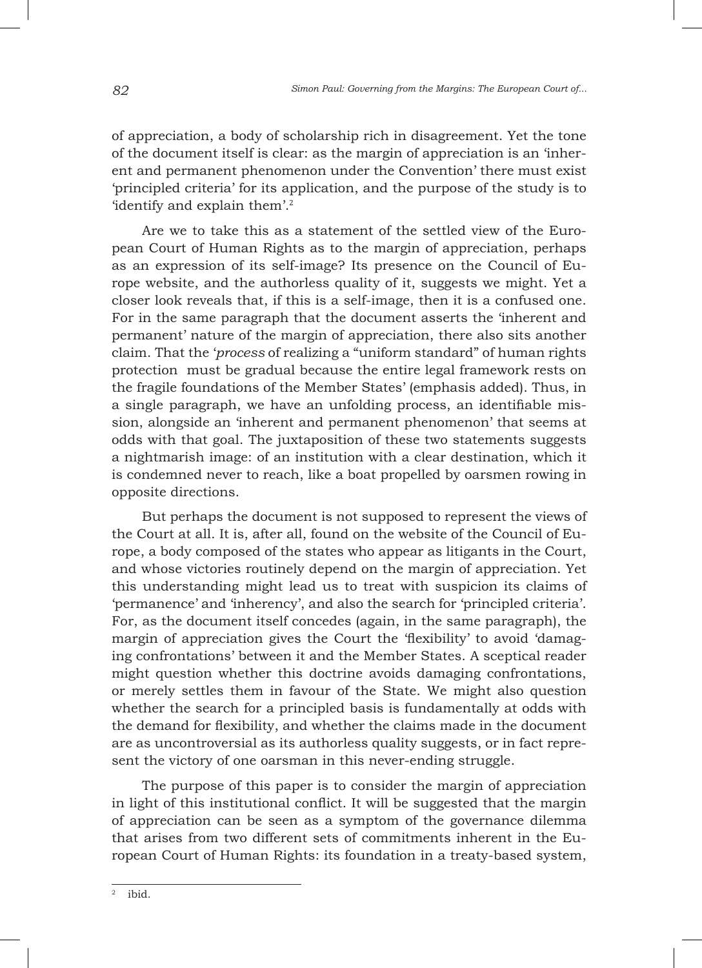of appreciation, a body of scholarship rich in disagreement. Yet the tone of the document itself is clear: as the margin of appreciation is an 'inherent and permanent phenomenon under the Convention' there must exist 'principled criteria' for its application, and the purpose of the study is to 'identify and explain them'.<sup>2</sup>

Are we to take this as a statement of the settled view of the European Court of Human Rights as to the margin of appreciation, perhaps as an expression of its self-image? Its presence on the Council of Europe website, and the authorless quality of it, suggests we might. Yet a closer look reveals that, if this is a self-image, then it is a confused one. For in the same paragraph that the document asserts the 'inherent and permanent' nature of the margin of appreciation, there also sits another claim. That the '*process* of realizing a "uniform standard" of human rights protection must be gradual because the entire legal framework rests on the fragile foundations of the Member States' (emphasis added). Thus, in a single paragraph, we have an unfolding process, an identifiable mission, alongside an 'inherent and permanent phenomenon' that seems at odds with that goal. The juxtaposition of these two statements suggests a nightmarish image: of an institution with a clear destination, which it is condemned never to reach, like a boat propelled by oarsmen rowing in opposite directions.

But perhaps the document is not supposed to represent the views of the Court at all. It is, after all, found on the website of the Council of Europe, a body composed of the states who appear as litigants in the Court, and whose victories routinely depend on the margin of appreciation. Yet this understanding might lead us to treat with suspicion its claims of 'permanence' and 'inherency', and also the search for 'principled criteria'. For, as the document itself concedes (again, in the same paragraph), the margin of appreciation gives the Court the 'flexibility' to avoid 'damaging confrontations' between it and the Member States. A sceptical reader might question whether this doctrine avoids damaging confrontations, or merely settles them in favour of the State. We might also question whether the search for a principled basis is fundamentally at odds with the demand for flexibility, and whether the claims made in the document are as uncontroversial as its authorless quality suggests, or in fact represent the victory of one oarsman in this never-ending struggle.

The purpose of this paper is to consider the margin of appreciation in light of this institutional conflict. It will be suggested that the margin of appreciation can be seen as a symptom of the governance dilemma that arises from two different sets of commitments inherent in the European Court of Human Rights: its foundation in a treaty-based system,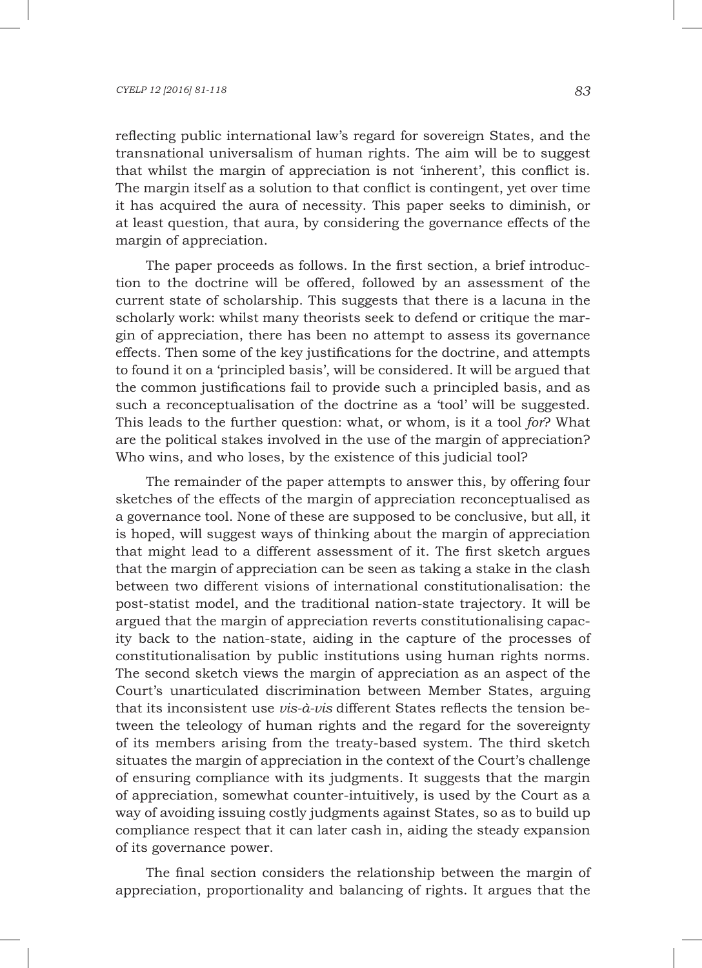#### *CYELP 12 [2016] 81-118 83*

reflecting public international law's regard for sovereign States, and the transnational universalism of human rights. The aim will be to suggest that whilst the margin of appreciation is not 'inherent', this conflict is. The margin itself as a solution to that conflict is contingent, yet over time it has acquired the aura of necessity. This paper seeks to diminish, or at least question, that aura, by considering the governance effects of the margin of appreciation.

The paper proceeds as follows. In the first section, a brief introduction to the doctrine will be offered, followed by an assessment of the current state of scholarship. This suggests that there is a lacuna in the scholarly work: whilst many theorists seek to defend or critique the margin of appreciation, there has been no attempt to assess its governance effects. Then some of the key justifications for the doctrine, and attempts to found it on a 'principled basis', will be considered. It will be argued that the common justifications fail to provide such a principled basis, and as such a reconceptualisation of the doctrine as a 'tool' will be suggested. This leads to the further question: what, or whom, is it a tool *for*? What are the political stakes involved in the use of the margin of appreciation? Who wins, and who loses, by the existence of this judicial tool?

The remainder of the paper attempts to answer this, by offering four sketches of the effects of the margin of appreciation reconceptualised as a governance tool. None of these are supposed to be conclusive, but all, it is hoped, will suggest ways of thinking about the margin of appreciation that might lead to a different assessment of it. The first sketch argues that the margin of appreciation can be seen as taking a stake in the clash between two different visions of international constitutionalisation: the post-statist model, and the traditional nation-state trajectory. It will be argued that the margin of appreciation reverts constitutionalising capacity back to the nation-state, aiding in the capture of the processes of constitutionalisation by public institutions using human rights norms. The second sketch views the margin of appreciation as an aspect of the Court's unarticulated discrimination between Member States, arguing that its inconsistent use *vis-à-vis* different States reflects the tension between the teleology of human rights and the regard for the sovereignty of its members arising from the treaty-based system. The third sketch situates the margin of appreciation in the context of the Court's challenge of ensuring compliance with its judgments. It suggests that the margin of appreciation, somewhat counter-intuitively, is used by the Court as a way of avoiding issuing costly judgments against States, so as to build up compliance respect that it can later cash in, aiding the steady expansion of its governance power.

The final section considers the relationship between the margin of appreciation, proportionality and balancing of rights. It argues that the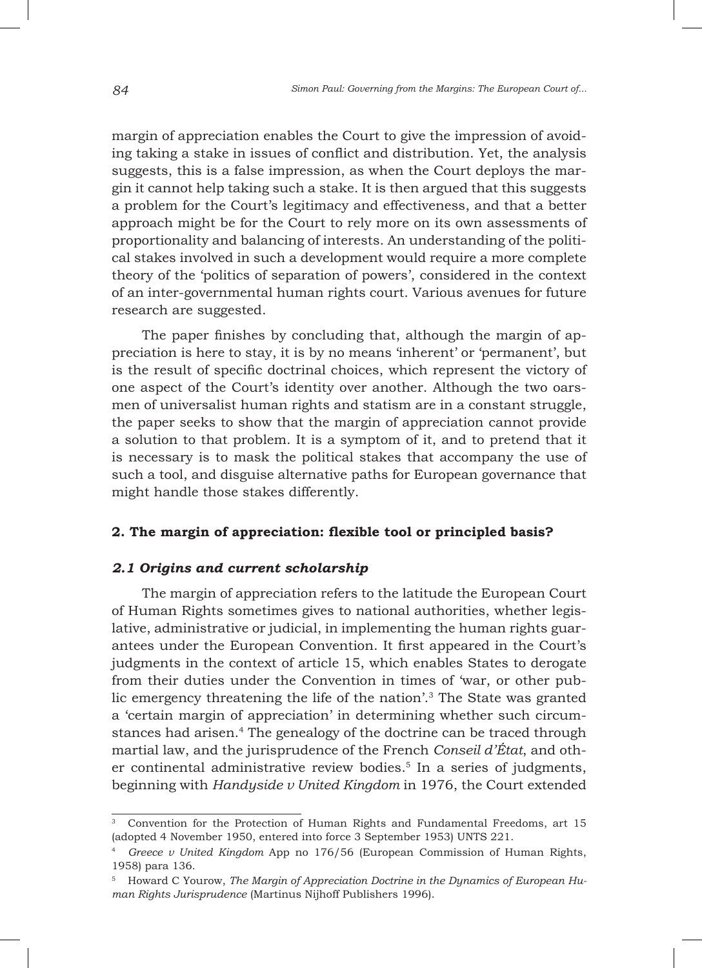margin of appreciation enables the Court to give the impression of avoiding taking a stake in issues of conflict and distribution. Yet, the analysis suggests, this is a false impression, as when the Court deploys the margin it cannot help taking such a stake. It is then argued that this suggests a problem for the Court's legitimacy and effectiveness, and that a better approach might be for the Court to rely more on its own assessments of proportionality and balancing of interests. An understanding of the political stakes involved in such a development would require a more complete theory of the 'politics of separation of powers', considered in the context of an inter-governmental human rights court. Various avenues for future research are suggested.

The paper finishes by concluding that, although the margin of appreciation is here to stay, it is by no means 'inherent' or 'permanent', but is the result of specific doctrinal choices, which represent the victory of one aspect of the Court's identity over another. Although the two oarsmen of universalist human rights and statism are in a constant struggle, the paper seeks to show that the margin of appreciation cannot provide a solution to that problem. It is a symptom of it, and to pretend that it is necessary is to mask the political stakes that accompany the use of such a tool, and disguise alternative paths for European governance that might handle those stakes differently.

## **2. The margin of appreciation: flexible tool or principled basis?**

### *2.1 Origins and current scholarship*

The margin of appreciation refers to the latitude the European Court of Human Rights sometimes gives to national authorities, whether legislative, administrative or judicial, in implementing the human rights guarantees under the European Convention. It first appeared in the Court's judgments in the context of article 15, which enables States to derogate from their duties under the Convention in times of 'war, or other public emergency threatening the life of the nation'.3 The State was granted a 'certain margin of appreciation' in determining whether such circumstances had arisen.<sup>4</sup> The genealogy of the doctrine can be traced through martial law, and the jurisprudence of the French *Conseil d'État*, and other continental administrative review bodies.<sup>5</sup> In a series of judgments, beginning with *Handyside v United Kingdom* in 1976, the Court extended

<sup>3</sup> Convention for the Protection of Human Rights and Fundamental Freedoms, art 15 (adopted 4 November 1950, entered into force 3 September 1953) UNTS 221.

<sup>4</sup> *Greece v United Kingdom* App no 176/56 (European Commission of Human Rights, 1958) para 136.

<sup>5</sup> Howard C Yourow, *The Margin of Appreciation Doctrine in the Dynamics of European Human Rights Jurisprudence* (Martinus Nijhoff Publishers 1996).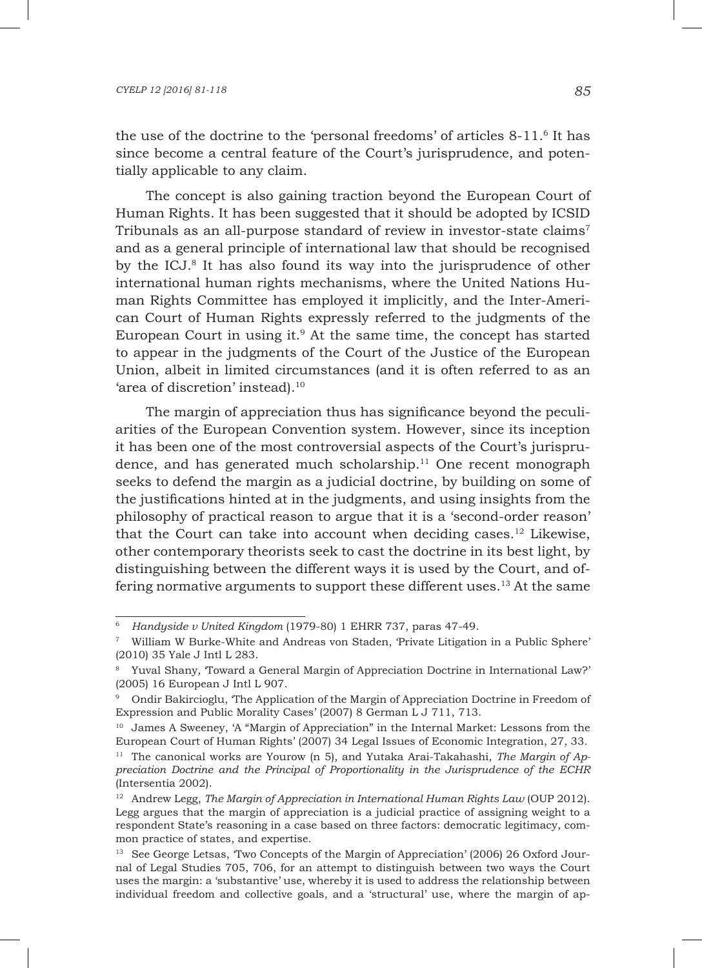the use of the doctrine to the 'personal freedoms' of articles 8-11.<sup>6</sup> It has since become a central feature of the Court's jurisprudence, and potentially applicable to any claim.

The concept is also gaining traction beyond the European Court of Human Rights. It has been suggested that it should be adopted by ICSID Tribunals as an all-purpose standard of review in investor-state claims<sup>7</sup> and as a general principle of international law that should be recognised by the ICJ.8 It has also found its way into the jurisprudence of other international human rights mechanisms, where the United Nations Human Rights Committee has employed it implicitly, and the Inter-American Court of Human Rights expressly referred to the judgments of the European Court in using it. $9$  At the same time, the concept has started to appear in the judgments of the Court of the Justice of the European Union, albeit in limited circumstances (and it is often referred to as an 'area of discretion' instead).<sup>10</sup>

The margin of appreciation thus has significance beyond the peculiarities of the European Convention system. However, since its inception it has been one of the most controversial aspects of the Court's jurisprudence, and has generated much scholarship. $11$  One recent monograph seeks to defend the margin as a judicial doctrine, by building on some of the justifications hinted at in the judgments, and using insights from the philosophy of practical reason to argue that it is a 'second-order reason' that the Court can take into account when deciding cases.<sup>12</sup> Likewise, other contemporary theorists seek to cast the doctrine in its best light, by distinguishing between the different ways it is used by the Court, and offering normative arguments to support these different uses.13 At the same

<sup>6</sup> *Handyside v United Kingdom* (1979-80) 1 EHRR 737, paras 47-49.

<sup>7</sup> William W Burke-White and Andreas von Staden, 'Private Litigation in a Public Sphere' (2010) 35 Yale J Intl L 283.

<sup>8</sup> Yuval Shany*,* 'Toward a General Margin of Appreciation Doctrine in International Law?' (2005) 16 European J Intl L 907.

<sup>&</sup>lt;sup>9</sup> Ondir Bakircioglu, 'The Application of the Margin of Appreciation Doctrine in Freedom of Expression and Public Morality Cases' (2007) 8 German L J 711, 713.

<sup>10</sup> James A Sweeney, 'A "Margin of Appreciation" in the Internal Market: Lessons from the European Court of Human Rights' (2007) 34 Legal Issues of Economic Integration, 27, 33.

<sup>11</sup> The canonical works are Yourow (n 5)*,* and Yutaka Arai-Takahashi, *The Margin of Appreciation Doctrine and the Principal of Proportionality in the Jurisprudence of the ECHR* (Intersentia 2002).

<sup>12</sup> Andrew Legg, *The Margin of Appreciation in International Human Rights Law* (OUP 2012). Legg argues that the margin of appreciation is a judicial practice of assigning weight to a respondent State's reasoning in a case based on three factors: democratic legitimacy, common practice of states, and expertise.

<sup>&</sup>lt;sup>13</sup> See George Letsas, 'Two Concepts of the Margin of Appreciation' (2006) 26 Oxford Journal of Legal Studies 705, 706, for an attempt to distinguish between two ways the Court uses the margin: a 'substantive' use, whereby it is used to address the relationship between individual freedom and collective goals, and a 'structural' use, where the margin of ap-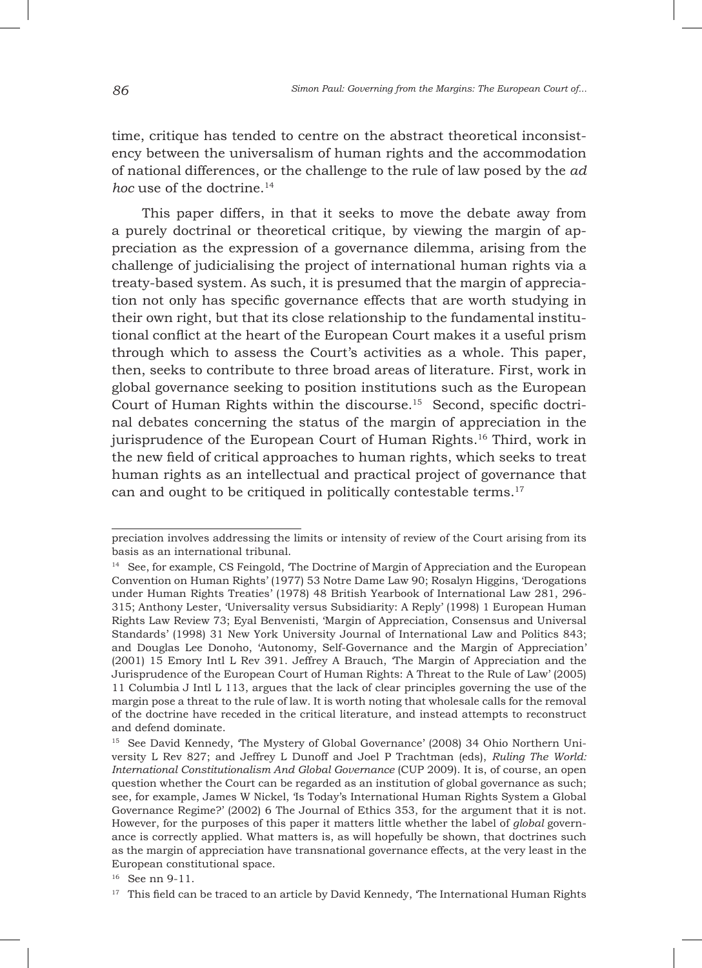time, critique has tended to centre on the abstract theoretical inconsistency between the universalism of human rights and the accommodation of national differences, or the challenge to the rule of law posed by the *ad hoc* use of the doctrine.<sup>14</sup>

This paper differs, in that it seeks to move the debate away from a purely doctrinal or theoretical critique, by viewing the margin of appreciation as the expression of a governance dilemma, arising from the challenge of judicialising the project of international human rights via a treaty-based system. As such, it is presumed that the margin of appreciation not only has specific governance effects that are worth studying in their own right, but that its close relationship to the fundamental institutional conflict at the heart of the European Court makes it a useful prism through which to assess the Court's activities as a whole. This paper, then, seeks to contribute to three broad areas of literature. First, work in global governance seeking to position institutions such as the European Court of Human Rights within the discourse.15 Second, specific doctrinal debates concerning the status of the margin of appreciation in the jurisprudence of the European Court of Human Rights.16 Third, work in the new field of critical approaches to human rights, which seeks to treat human rights as an intellectual and practical project of governance that can and ought to be critiqued in politically contestable terms.<sup>17</sup>

preciation involves addressing the limits or intensity of review of the Court arising from its basis as an international tribunal.

<sup>&</sup>lt;sup>14</sup> See, for example, CS Feingold, 'The Doctrine of Margin of Appreciation and the European Convention on Human Rights' (1977) 53 Notre Dame Law 90; Rosalyn Higgins, 'Derogations under Human Rights Treaties' (1978) 48 British Yearbook of International Law 281, 296- 315; Anthony Lester, 'Universality versus Subsidiarity: A Reply' (1998) 1 European Human Rights Law Review 73; Eyal Benvenisti, 'Margin of Appreciation, Consensus and Universal Standards' (1998) 31 New York University Journal of International Law and Politics 843; and Douglas Lee Donoho, 'Autonomy, Self-Governance and the Margin of Appreciation' (2001) 15 Emory Intl L Rev 391. Jeffrey A Brauch, 'The Margin of Appreciation and the Jurisprudence of the European Court of Human Rights: A Threat to the Rule of Law' (2005) 11 Columbia J Intl L 113, argues that the lack of clear principles governing the use of the margin pose a threat to the rule of law. It is worth noting that wholesale calls for the removal of the doctrine have receded in the critical literature, and instead attempts to reconstruct and defend dominate.

<sup>&</sup>lt;sup>15</sup> See David Kennedy, 'The Mystery of Global Governance' (2008) 34 Ohio Northern University L Rev 827; and Jeffrey L Dunoff and Joel P Trachtman (eds), *Ruling The World: International Constitutionalism And Global Governance* (CUP 2009). It is, of course, an open question whether the Court can be regarded as an institution of global governance as such; see, for example, James W Nickel, 'Is Today's International Human Rights System a Global Governance Regime?' (2002) 6 The Journal of Ethics 353, for the argument that it is not. However, for the purposes of this paper it matters little whether the label of *global* governance is correctly applied. What matters is, as will hopefully be shown, that doctrines such as the margin of appreciation have transnational governance effects, at the very least in the European constitutional space.

<sup>16</sup> See nn 9-11.

 $17$  This field can be traced to an article by David Kennedy, The International Human Rights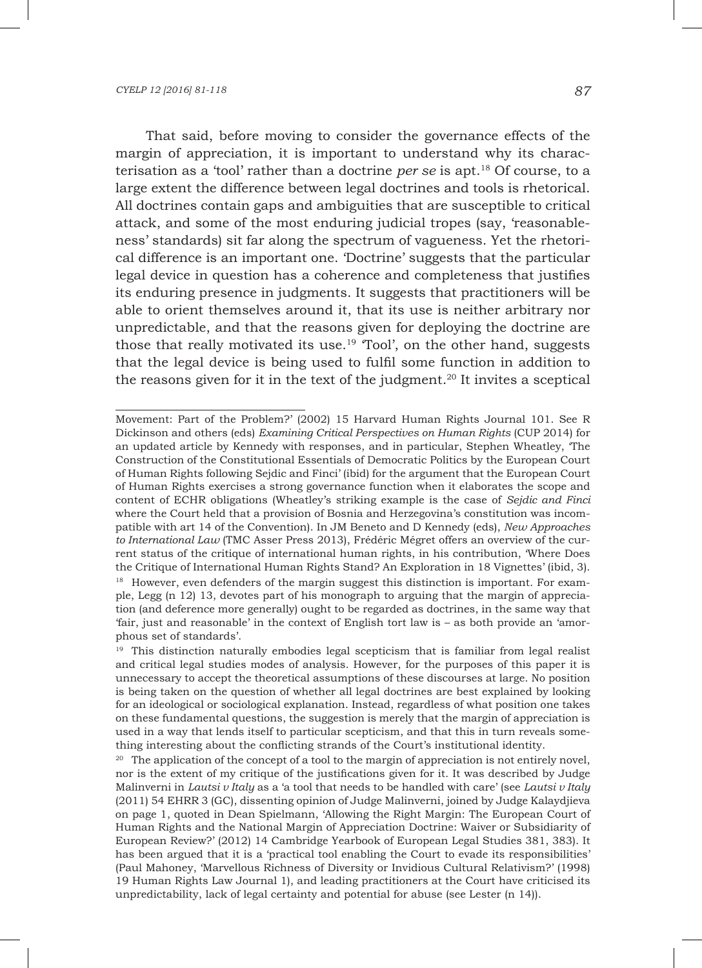That said, before moving to consider the governance effects of the margin of appreciation, it is important to understand why its characterisation as a 'tool' rather than a doctrine *per se* is apt.18 Of course, to a large extent the difference between legal doctrines and tools is rhetorical. All doctrines contain gaps and ambiguities that are susceptible to critical attack, and some of the most enduring judicial tropes (say, 'reasonableness' standards) sit far along the spectrum of vagueness. Yet the rhetorical difference is an important one. 'Doctrine' suggests that the particular legal device in question has a coherence and completeness that justifies its enduring presence in judgments. It suggests that practitioners will be able to orient themselves around it, that its use is neither arbitrary nor unpredictable, and that the reasons given for deploying the doctrine are those that really motivated its use.<sup>19</sup> Tool', on the other hand, suggests that the legal device is being used to fulfil some function in addition to the reasons given for it in the text of the judgment.<sup>20</sup> It invites a sceptical

Movement: Part of the Problem?' (2002) 15 Harvard Human Rights Journal 101. See R Dickinson and others (eds) *Examining Critical Perspectives on Human Rights* (CUP 2014) for an updated article by Kennedy with responses, and in particular, Stephen Wheatley, 'The Construction of the Constitutional Essentials of Democratic Politics by the European Court of Human Rights following Sejdic and Finci' (ibid) for the argument that the European Court of Human Rights exercises a strong governance function when it elaborates the scope and content of ECHR obligations (Wheatley's striking example is the case of *Sejdic and Finci*  where the Court held that a provision of Bosnia and Herzegovina's constitution was incompatible with art 14 of the Convention). In JM Beneto and D Kennedy (eds), *New Approaches to International Law* (TMC Asser Press 2013), Frédéric Mégret offers an overview of the current status of the critique of international human rights, in his contribution, 'Where Does the Critique of International Human Rights Stand? An Exploration in 18 Vignettes' (ibid, 3).

<sup>&</sup>lt;sup>18</sup> However, even defenders of the margin suggest this distinction is important. For example, Legg (n 12) 13, devotes part of his monograph to arguing that the margin of appreciation (and deference more generally) ought to be regarded as doctrines, in the same way that 'fair, just and reasonable' in the context of English tort law is – as both provide an 'amorphous set of standards'.

<sup>&</sup>lt;sup>19</sup> This distinction naturally embodies legal scepticism that is familiar from legal realist and critical legal studies modes of analysis. However, for the purposes of this paper it is unnecessary to accept the theoretical assumptions of these discourses at large. No position is being taken on the question of whether all legal doctrines are best explained by looking for an ideological or sociological explanation. Instead, regardless of what position one takes on these fundamental questions, the suggestion is merely that the margin of appreciation is used in a way that lends itself to particular scepticism, and that this in turn reveals something interesting about the conflicting strands of the Court's institutional identity.

<sup>&</sup>lt;sup>20</sup> The application of the concept of a tool to the margin of appreciation is not entirely novel, nor is the extent of my critique of the justifications given for it. It was described by Judge Malinverni in *Lautsi v Italy* as a 'a tool that needs to be handled with care' (see *Lautsi v Italy* (2011) 54 EHRR 3 (GC), dissenting opinion of Judge Malinverni, joined by Judge Kalaydjieva on page 1, quoted in Dean Spielmann, 'Allowing the Right Margin: The European Court of Human Rights and the National Margin of Appreciation Doctrine: Waiver or Subsidiarity of European Review?' (2012) 14 Cambridge Yearbook of European Legal Studies 381, 383). It has been argued that it is a 'practical tool enabling the Court to evade its responsibilities' (Paul Mahoney, 'Marvellous Richness of Diversity or Invidious Cultural Relativism?' (1998) 19 Human Rights Law Journal 1), and leading practitioners at the Court have criticised its unpredictability, lack of legal certainty and potential for abuse (see Lester (n 14)).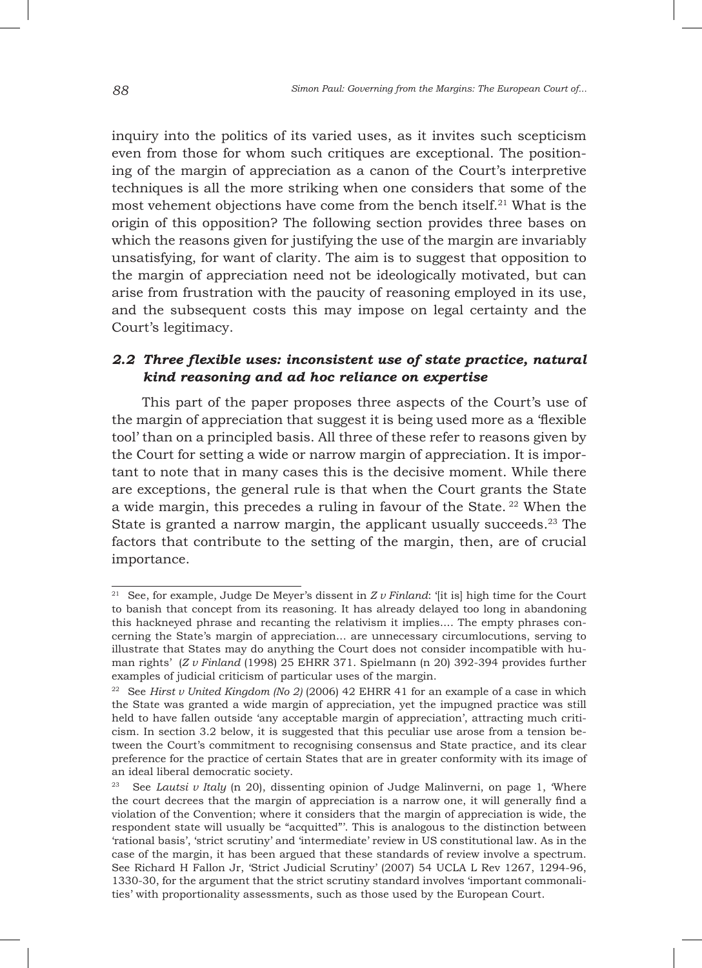inquiry into the politics of its varied uses, as it invites such scepticism even from those for whom such critiques are exceptional. The positioning of the margin of appreciation as a canon of the Court's interpretive techniques is all the more striking when one considers that some of the most vehement objections have come from the bench itself.<sup>21</sup> What is the origin of this opposition? The following section provides three bases on which the reasons given for justifying the use of the margin are invariably unsatisfying, for want of clarity. The aim is to suggest that opposition to the margin of appreciation need not be ideologically motivated, but can arise from frustration with the paucity of reasoning employed in its use, and the subsequent costs this may impose on legal certainty and the Court's legitimacy.

# *2.2 Three flexible uses: inconsistent use of state practice, natural kind reasoning and ad hoc reliance on expertise*

This part of the paper proposes three aspects of the Court's use of the margin of appreciation that suggest it is being used more as a 'flexible tool' than on a principled basis. All three of these refer to reasons given by the Court for setting a wide or narrow margin of appreciation. It is important to note that in many cases this is the decisive moment. While there are exceptions, the general rule is that when the Court grants the State a wide margin, this precedes a ruling in favour of the State. 22 When the State is granted a narrow margin, the applicant usually succeeds.<sup>23</sup> The factors that contribute to the setting of the margin, then, are of crucial importance.

<sup>&</sup>lt;sup>21</sup> See, for example, Judge De Meyer's dissent in  $Z \nu$  Finland: '[it is] high time for the Court to banish that concept from its reasoning. It has already delayed too long in abandoning this hackneyed phrase and recanting the relativism it implies.... The empty phrases concerning the State's margin of appreciation... are unnecessary circumlocutions, serving to illustrate that States may do anything the Court does not consider incompatible with human rights' (*Z v Finland* (1998) 25 EHRR 371. Spielmann (n 20) 392-394 provides further examples of judicial criticism of particular uses of the margin.

<sup>&</sup>lt;sup>22</sup> See *Hirst v United Kingdom (No 2)* (2006) 42 EHRR 41 for an example of a case in which the State was granted a wide margin of appreciation, yet the impugned practice was still held to have fallen outside 'any acceptable margin of appreciation', attracting much criticism. In section 3.2 below, it is suggested that this peculiar use arose from a tension between the Court's commitment to recognising consensus and State practice, and its clear preference for the practice of certain States that are in greater conformity with its image of an ideal liberal democratic society.

<sup>&</sup>lt;sup>23</sup> See *Lautsi v Italy* (n 20), dissenting opinion of Judge Malinverni, on page 1, 'Where the court decrees that the margin of appreciation is a narrow one, it will generally find a violation of the Convention; where it considers that the margin of appreciation is wide, the respondent state will usually be "acquitted"'. This is analogous to the distinction between 'rational basis', 'strict scrutiny' and 'intermediate' review in US constitutional law. As in the case of the margin, it has been argued that these standards of review involve a spectrum. See Richard H Fallon Jr, 'Strict Judicial Scrutiny' (2007) 54 UCLA L Rev 1267, 1294-96, 1330-30, for the argument that the strict scrutiny standard involves 'important commonalities' with proportionality assessments, such as those used by the European Court.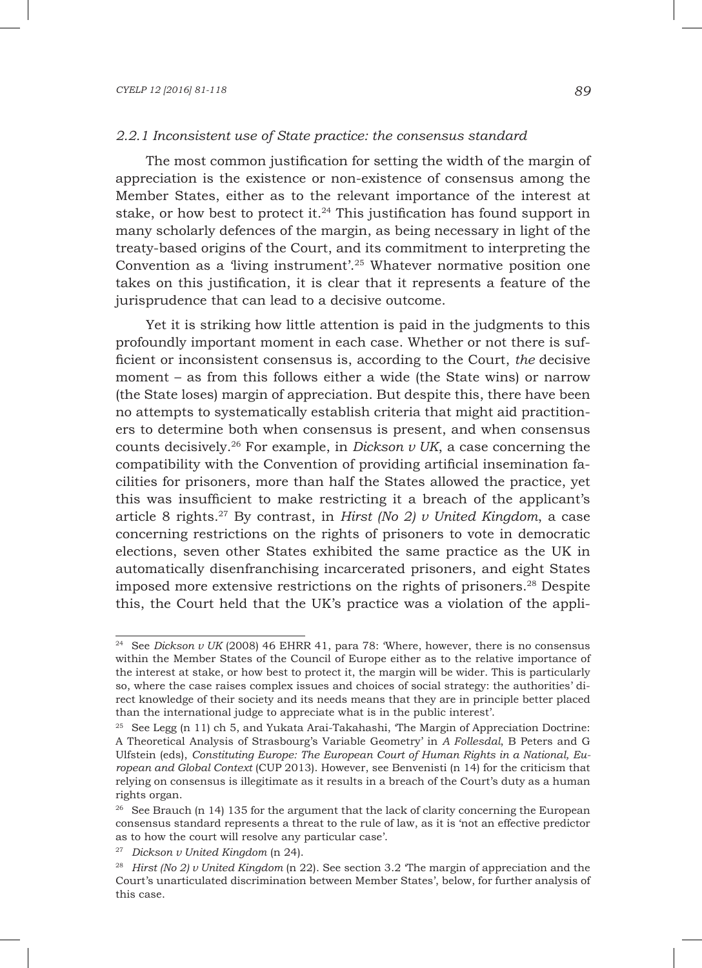The most common justification for setting the width of the margin of appreciation is the existence or non-existence of consensus among the Member States, either as to the relevant importance of the interest at stake, or how best to protect it.<sup>24</sup> This justification has found support in many scholarly defences of the margin, as being necessary in light of the treaty-based origins of the Court, and its commitment to interpreting the Convention as a 'living instrument'.25 Whatever normative position one takes on this justification, it is clear that it represents a feature of the jurisprudence that can lead to a decisive outcome.

Yet it is striking how little attention is paid in the judgments to this profoundly important moment in each case. Whether or not there is sufficient or inconsistent consensus is, according to the Court, *the* decisive moment – as from this follows either a wide (the State wins) or narrow (the State loses) margin of appreciation. But despite this, there have been no attempts to systematically establish criteria that might aid practitioners to determine both when consensus is present, and when consensus counts decisively.26 For example, in *Dickson v UK*, a case concerning the compatibility with the Convention of providing artificial insemination facilities for prisoners, more than half the States allowed the practice, yet this was insufficient to make restricting it a breach of the applicant's article 8 rights.27 By contrast, in *Hirst (No 2) v United Kingdom*, a case concerning restrictions on the rights of prisoners to vote in democratic elections, seven other States exhibited the same practice as the UK in automatically disenfranchising incarcerated prisoners, and eight States imposed more extensive restrictions on the rights of prisoners.28 Despite this, the Court held that the UK's practice was a violation of the appli-

<sup>&</sup>lt;sup>24</sup> See *Dickson v UK* (2008) 46 EHRR 41, para 78: 'Where, however, there is no consensus within the Member States of the Council of Europe either as to the relative importance of the interest at stake, or how best to protect it, the margin will be wider. This is particularly so, where the case raises complex issues and choices of social strategy: the authorities' direct knowledge of their society and its needs means that they are in principle better placed than the international judge to appreciate what is in the public interest'.

 $25$  See Legg (n 11) ch 5, and Yukata Arai-Takahashi, 'The Margin of Appreciation Doctrine: A Theoretical Analysis of Strasbourg's Variable Geometry' in *A Follesdal*, B Peters and G Ulfstein (eds), *Constituting Europe: The European Court of Human Rights in a National, European and Global Context* (CUP 2013). However, see Benvenisti (n 14) for the criticism that relying on consensus is illegitimate as it results in a breach of the Court's duty as a human rights organ.

<sup>&</sup>lt;sup>26</sup> See Brauch (n 14) 135 for the argument that the lack of clarity concerning the European consensus standard represents a threat to the rule of law, as it is 'not an effective predictor as to how the court will resolve any particular case'.

<sup>27</sup> *Dickson v United Kingdom* (n 24).

<sup>28</sup> *Hirst (No 2) v United Kingdom* (n 22). See section 3.2 'The margin of appreciation and the Court's unarticulated discrimination between Member States', below, for further analysis of this case.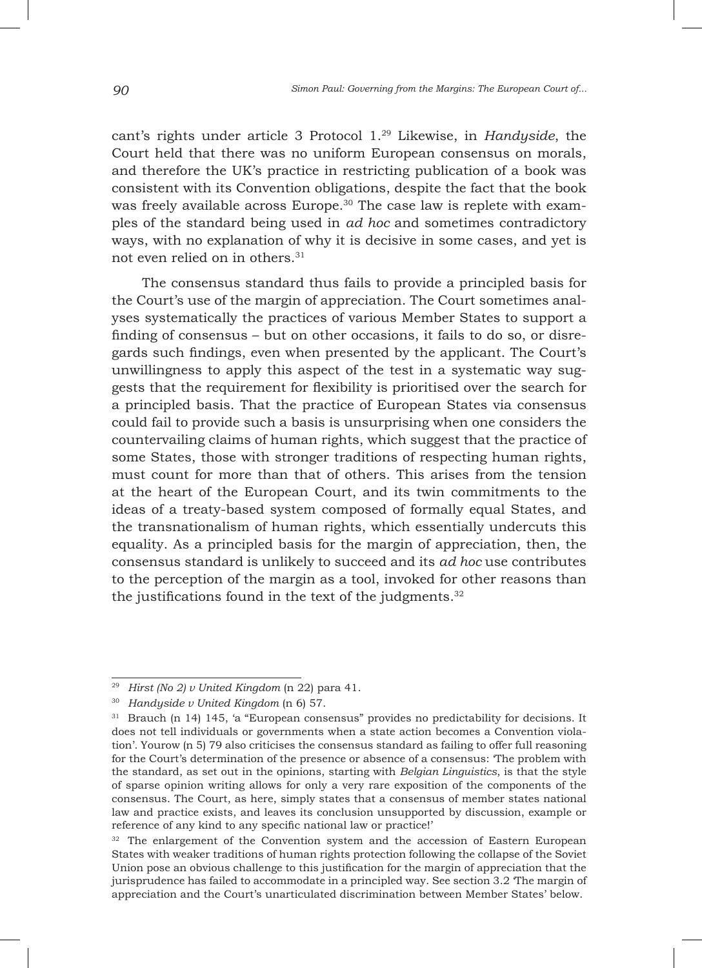cant's rights under article 3 Protocol 1.29 Likewise, in *Handyside*, the Court held that there was no uniform European consensus on morals, and therefore the UK's practice in restricting publication of a book was consistent with its Convention obligations, despite the fact that the book was freely available across Europe.<sup>30</sup> The case law is replete with examples of the standard being used in *ad hoc* and sometimes contradictory ways, with no explanation of why it is decisive in some cases, and yet is not even relied on in others.31

The consensus standard thus fails to provide a principled basis for the Court's use of the margin of appreciation. The Court sometimes analyses systematically the practices of various Member States to support a finding of consensus – but on other occasions, it fails to do so, or disregards such findings, even when presented by the applicant. The Court's unwillingness to apply this aspect of the test in a systematic way suggests that the requirement for flexibility is prioritised over the search for a principled basis. That the practice of European States via consensus could fail to provide such a basis is unsurprising when one considers the countervailing claims of human rights, which suggest that the practice of some States, those with stronger traditions of respecting human rights, must count for more than that of others. This arises from the tension at the heart of the European Court, and its twin commitments to the ideas of a treaty-based system composed of formally equal States, and the transnationalism of human rights, which essentially undercuts this equality. As a principled basis for the margin of appreciation, then, the consensus standard is unlikely to succeed and its *ad hoc* use contributes to the perception of the margin as a tool, invoked for other reasons than the justifications found in the text of the judgments. $32$ 

<sup>29</sup> *Hirst (No 2) v United Kingdom* (n 22) para 41.

<sup>30</sup> *Handyside v United Kingdom* (n 6) 57.

<sup>31</sup> Brauch (n 14) 145, 'a "European consensus" provides no predictability for decisions. It does not tell individuals or governments when a state action becomes a Convention violation'. Yourow (n 5) 79 also criticises the consensus standard as failing to offer full reasoning for the Court's determination of the presence or absence of a consensus: 'The problem with the standard, as set out in the opinions, starting with *Belgian Linguistics*, is that the style of sparse opinion writing allows for only a very rare exposition of the components of the consensus. The Court, as here, simply states that a consensus of member states national law and practice exists, and leaves its conclusion unsupported by discussion, example or reference of any kind to any specific national law or practice!'

<sup>&</sup>lt;sup>32</sup> The enlargement of the Convention system and the accession of Eastern European States with weaker traditions of human rights protection following the collapse of the Soviet Union pose an obvious challenge to this justification for the margin of appreciation that the jurisprudence has failed to accommodate in a principled way. See section 3.2 'The margin of appreciation and the Court's unarticulated discrimination between Member States' below.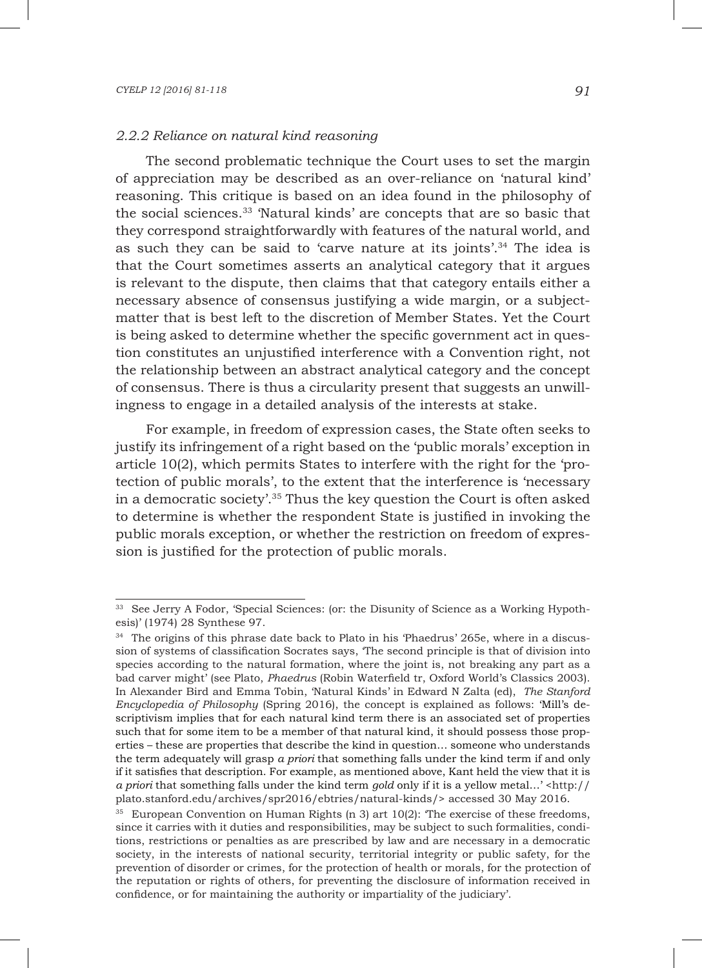#### *2.2.2 Reliance on natural kind reasoning*

The second problematic technique the Court uses to set the margin of appreciation may be described as an over-reliance on 'natural kind' reasoning. This critique is based on an idea found in the philosophy of the social sciences.33 'Natural kinds' are concepts that are so basic that they correspond straightforwardly with features of the natural world, and as such they can be said to 'carve nature at its joints'.34 The idea is that the Court sometimes asserts an analytical category that it argues is relevant to the dispute, then claims that that category entails either a necessary absence of consensus justifying a wide margin, or a subjectmatter that is best left to the discretion of Member States. Yet the Court is being asked to determine whether the specific government act in question constitutes an unjustified interference with a Convention right, not the relationship between an abstract analytical category and the concept of consensus. There is thus a circularity present that suggests an unwillingness to engage in a detailed analysis of the interests at stake.

For example, in freedom of expression cases, the State often seeks to justify its infringement of a right based on the 'public morals' exception in article 10(2), which permits States to interfere with the right for the 'protection of public morals', to the extent that the interference is 'necessary in a democratic society'.35 Thus the key question the Court is often asked to determine is whether the respondent State is justified in invoking the public morals exception, or whether the restriction on freedom of expression is justified for the protection of public morals.

<sup>&</sup>lt;sup>33</sup> See Jerry A Fodor, 'Special Sciences: (or: the Disunity of Science as a Working Hypothesis)' (1974) 28 Synthese 97.

<sup>&</sup>lt;sup>34</sup> The origins of this phrase date back to Plato in his 'Phaedrus' 265e, where in a discussion of systems of classification Socrates says, 'The second principle is that of division into species according to the natural formation, where the joint is, not breaking any part as a bad carver might' (see Plato, *Phaedrus* (Robin Waterfield tr, Oxford World's Classics 2003). In Alexander Bird and Emma Tobin, 'Natural Kinds' in Edward N Zalta (ed), *The Stanford Encyclopedia of Philosophy* (Spring 2016), the concept is explained as follows: 'Mill's descriptivism implies that for each natural kind term there is an associated set of properties such that for some item to be a member of that natural kind, it should possess those properties – these are properties that describe the kind in question… someone who understands the term adequately will grasp *a priori* that something falls under the kind term if and only if it satisfies that description. For example, as mentioned above, Kant held the view that it is *a priori* that something falls under the kind term *gold* only if it is a yellow metal…' <http:// plato.stanford.edu/archives/spr2016/ebtries/natural-kinds/> accessed 30 May 2016.

<sup>&</sup>lt;sup>35</sup> European Convention on Human Rights (n 3) art  $10(2)$ : The exercise of these freedoms, since it carries with it duties and responsibilities, may be subject to such formalities, conditions, restrictions or penalties as are prescribed by law and are necessary in a democratic society, in the interests of national security, territorial integrity or public safety, for the prevention of disorder or crimes, for the protection of health or morals, for the protection of the reputation or rights of others, for preventing the disclosure of information received in confidence, or for maintaining the authority or impartiality of the judiciary'.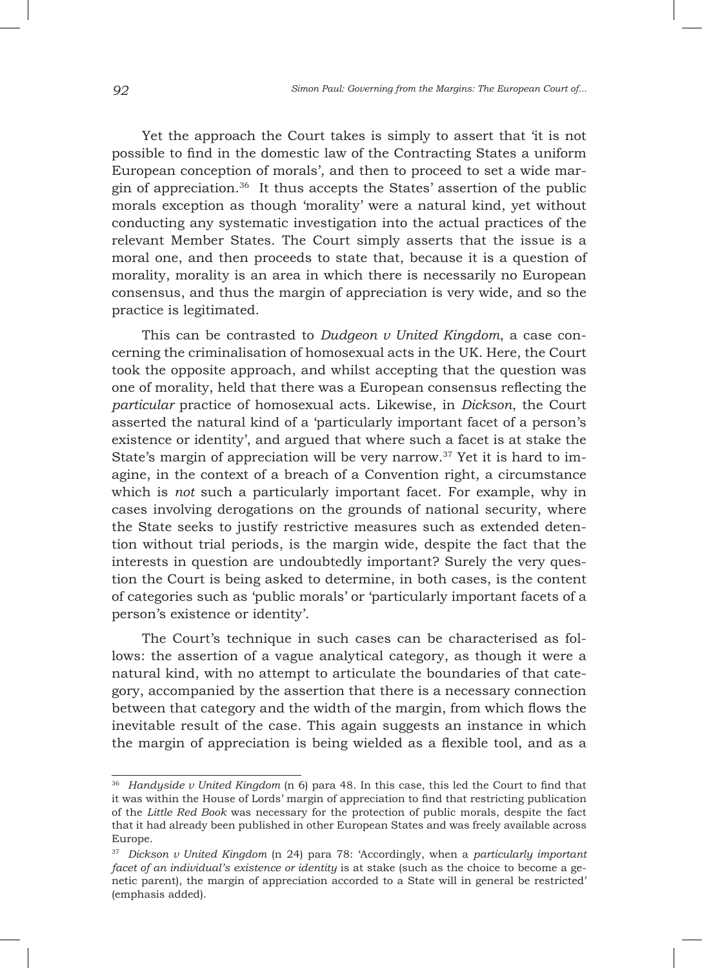Yet the approach the Court takes is simply to assert that 'it is not possible to find in the domestic law of the Contracting States a uniform European conception of morals', and then to proceed to set a wide margin of appreciation.36 It thus accepts the States' assertion of the public morals exception as though 'morality' were a natural kind, yet without conducting any systematic investigation into the actual practices of the relevant Member States. The Court simply asserts that the issue is a moral one, and then proceeds to state that, because it is a question of morality, morality is an area in which there is necessarily no European consensus, and thus the margin of appreciation is very wide, and so the practice is legitimated.

This can be contrasted to *Dudgeon v United Kingdom*, a case concerning the criminalisation of homosexual acts in the UK. Here, the Court took the opposite approach, and whilst accepting that the question was one of morality, held that there was a European consensus reflecting the *particular* practice of homosexual acts. Likewise, in *Dickson*, the Court asserted the natural kind of a 'particularly important facet of a person's existence or identity', and argued that where such a facet is at stake the State's margin of appreciation will be very narrow.37 Yet it is hard to imagine, in the context of a breach of a Convention right, a circumstance which is *not* such a particularly important facet. For example, why in cases involving derogations on the grounds of national security, where the State seeks to justify restrictive measures such as extended detention without trial periods, is the margin wide, despite the fact that the interests in question are undoubtedly important? Surely the very question the Court is being asked to determine, in both cases, is the content of categories such as 'public morals' or 'particularly important facets of a person's existence or identity'.

The Court's technique in such cases can be characterised as follows: the assertion of a vague analytical category, as though it were a natural kind, with no attempt to articulate the boundaries of that category, accompanied by the assertion that there is a necessary connection between that category and the width of the margin, from which flows the inevitable result of the case. This again suggests an instance in which the margin of appreciation is being wielded as a flexible tool, and as a

<sup>36</sup> *Handyside v United Kingdom* (n 6) para 48. In this case, this led the Court to find that it was within the House of Lords' margin of appreciation to find that restricting publication of the *Little Red Book* was necessary for the protection of public morals, despite the fact that it had already been published in other European States and was freely available across Europe.

<sup>37</sup> *Dickson v United Kingdom* (n 24) para 78: 'Accordingly, when a *particularly important facet of an individual's existence or identity* is at stake (such as the choice to become a genetic parent), the margin of appreciation accorded to a State will in general be restricted' (emphasis added).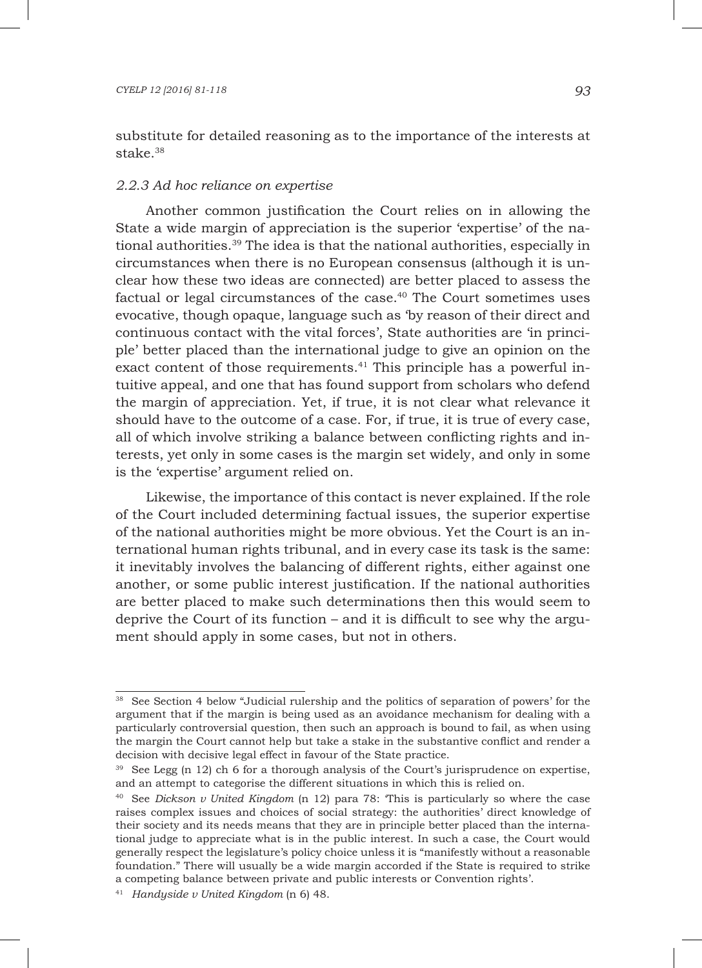substitute for detailed reasoning as to the importance of the interests at stake $38$ 

### *2.2.3 Ad hoc reliance on expertise*

Another common justification the Court relies on in allowing the State a wide margin of appreciation is the superior 'expertise' of the national authorities.39 The idea is that the national authorities, especially in circumstances when there is no European consensus (although it is unclear how these two ideas are connected) are better placed to assess the factual or legal circumstances of the case.40 The Court sometimes uses evocative, though opaque, language such as 'by reason of their direct and continuous contact with the vital forces', State authorities are 'in principle' better placed than the international judge to give an opinion on the exact content of those requirements.<sup>41</sup> This principle has a powerful intuitive appeal, and one that has found support from scholars who defend the margin of appreciation. Yet, if true, it is not clear what relevance it should have to the outcome of a case. For, if true, it is true of every case, all of which involve striking a balance between conflicting rights and interests, yet only in some cases is the margin set widely, and only in some is the 'expertise' argument relied on.

Likewise, the importance of this contact is never explained. If the role of the Court included determining factual issues, the superior expertise of the national authorities might be more obvious. Yet the Court is an international human rights tribunal, and in every case its task is the same: it inevitably involves the balancing of different rights, either against one another, or some public interest justification. If the national authorities are better placed to make such determinations then this would seem to deprive the Court of its function – and it is difficult to see why the argument should apply in some cases, but not in others.

<sup>38</sup> See Section 4 below "Judicial rulership and the politics of separation of powers' for the argument that if the margin is being used as an avoidance mechanism for dealing with a particularly controversial question, then such an approach is bound to fail, as when using the margin the Court cannot help but take a stake in the substantive conflict and render a decision with decisive legal effect in favour of the State practice.

<sup>39</sup> See Legg (n 12) ch 6 for a thorough analysis of the Court's jurisprudence on expertise, and an attempt to categorise the different situations in which this is relied on.

<sup>40</sup> See *Dickson v United Kingdom* (n 12) para 78: 'This is particularly so where the case raises complex issues and choices of social strategy: the authorities' direct knowledge of their society and its needs means that they are in principle better placed than the international judge to appreciate what is in the public interest. In such a case, the Court would generally respect the legislature's policy choice unless it is "manifestly without a reasonable foundation." There will usually be a wide margin accorded if the State is required to strike a competing balance between private and public interests or Convention rights'.

<sup>41</sup> *Handyside v United Kingdom* (n 6) 48.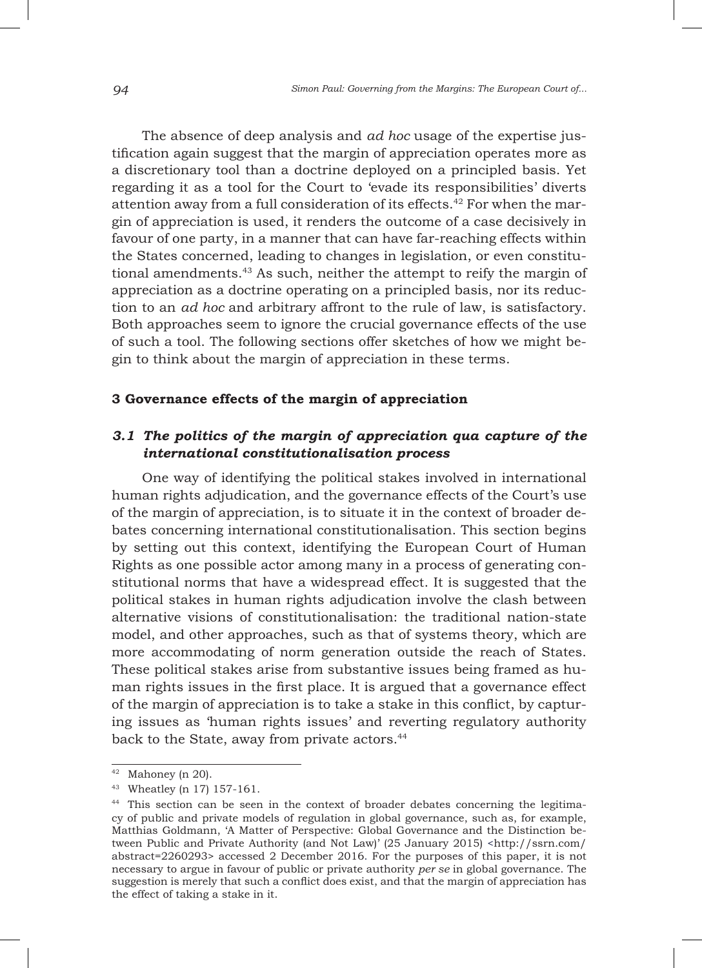The absence of deep analysis and *ad hoc* usage of the expertise justification again suggest that the margin of appreciation operates more as a discretionary tool than a doctrine deployed on a principled basis. Yet regarding it as a tool for the Court to 'evade its responsibilities' diverts attention away from a full consideration of its effects.<sup>42</sup> For when the margin of appreciation is used, it renders the outcome of a case decisively in favour of one party, in a manner that can have far-reaching effects within the States concerned, leading to changes in legislation, or even constitutional amendments.43 As such, neither the attempt to reify the margin of appreciation as a doctrine operating on a principled basis, nor its reduction to an *ad hoc* and arbitrary affront to the rule of law, is satisfactory. Both approaches seem to ignore the crucial governance effects of the use of such a tool. The following sections offer sketches of how we might begin to think about the margin of appreciation in these terms.

### **3 Governance effects of the margin of appreciation**

# *3.1 The politics of the margin of appreciation qua capture of the international constitutionalisation process*

One way of identifying the political stakes involved in international human rights adjudication, and the governance effects of the Court's use of the margin of appreciation, is to situate it in the context of broader debates concerning international constitutionalisation. This section begins by setting out this context, identifying the European Court of Human Rights as one possible actor among many in a process of generating constitutional norms that have a widespread effect. It is suggested that the political stakes in human rights adjudication involve the clash between alternative visions of constitutionalisation: the traditional nation-state model, and other approaches, such as that of systems theory, which are more accommodating of norm generation outside the reach of States. These political stakes arise from substantive issues being framed as human rights issues in the first place. It is argued that a governance effect of the margin of appreciation is to take a stake in this conflict, by capturing issues as 'human rights issues' and reverting regulatory authority back to the State, away from private actors.<sup>44</sup>

 $42$  Mahoney (n 20).

<sup>43</sup> Wheatley (n 17) 157-161.

<sup>44</sup> This section can be seen in the context of broader debates concerning the legitimacy of public and private models of regulation in global governance, such as, for example, Matthias Goldmann, 'A Matter of Perspective: Global Governance and the Distinction between Public and Private Authority (and Not Law)' (25 January 2015) <http://ssrn.com/ abstract=2260293> accessed 2 December 2016. For the purposes of this paper, it is not necessary to argue in favour of public or private authority *per se* in global governance. The suggestion is merely that such a conflict does exist, and that the margin of appreciation has the effect of taking a stake in it.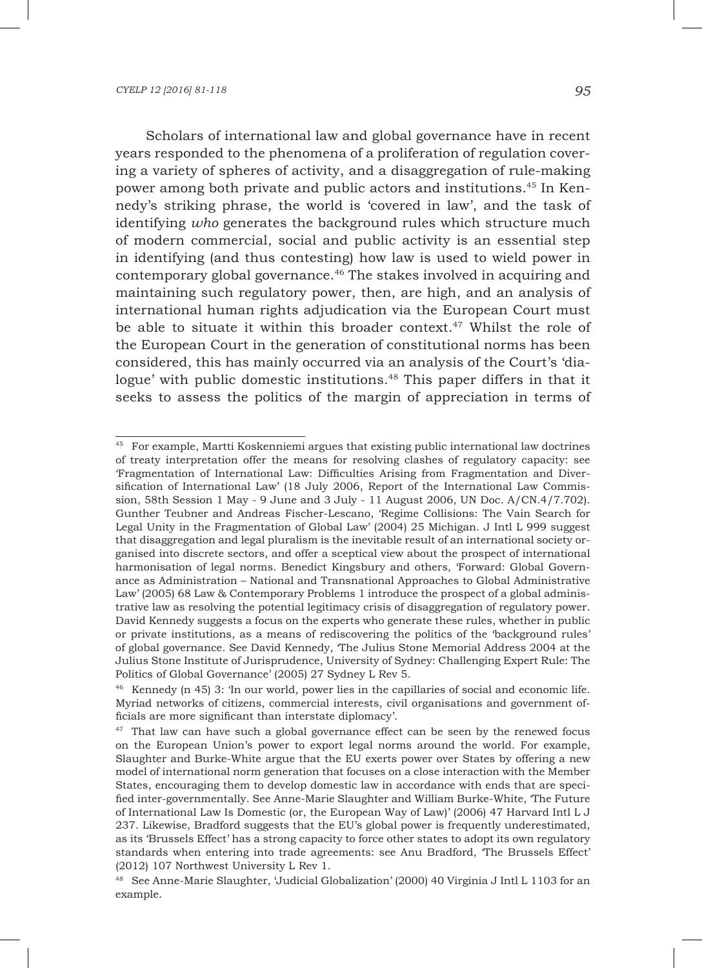Scholars of international law and global governance have in recent years responded to the phenomena of a proliferation of regulation covering a variety of spheres of activity, and a disaggregation of rule-making power among both private and public actors and institutions.45 In Kennedy's striking phrase, the world is 'covered in law', and the task of identifying *who* generates the background rules which structure much of modern commercial, social and public activity is an essential step in identifying (and thus contesting) how law is used to wield power in contemporary global governance.46 The stakes involved in acquiring and maintaining such regulatory power, then, are high, and an analysis of international human rights adjudication via the European Court must be able to situate it within this broader context.<sup>47</sup> Whilst the role of the European Court in the generation of constitutional norms has been considered, this has mainly occurred via an analysis of the Court's 'dialogue' with public domestic institutions.<sup>48</sup> This paper differs in that it seeks to assess the politics of the margin of appreciation in terms of

<sup>45</sup> For example, Martti Koskenniemi argues that existing public international law doctrines of treaty interpretation offer the means for resolving clashes of regulatory capacity: see 'Fragmentation of International Law: Difficulties Arising from Fragmentation and Diversification of International Law' (18 July 2006, Report of the International Law Commission, 58th Session 1 May - 9 June and 3 July - 11 August 2006, UN Doc. A/CN.4/7.702). Gunther Teubner and Andreas Fischer-Lescano, 'Regime Collisions: The Vain Search for Legal Unity in the Fragmentation of Global Law' (2004) 25 Michigan. J Intl L 999 suggest that disaggregation and legal pluralism is the inevitable result of an international society organised into discrete sectors, and offer a sceptical view about the prospect of international harmonisation of legal norms. Benedict Kingsbury and others, 'Forward: Global Governance as Administration – National and Transnational Approaches to Global Administrative Law' (2005) 68 Law & Contemporary Problems 1 introduce the prospect of a global administrative law as resolving the potential legitimacy crisis of disaggregation of regulatory power. David Kennedy suggests a focus on the experts who generate these rules, whether in public or private institutions, as a means of rediscovering the politics of the 'background rules' of global governance. See David Kennedy, 'The Julius Stone Memorial Address 2004 at the Julius Stone Institute of Jurisprudence, University of Sydney: Challenging Expert Rule: The Politics of Global Governance' (2005) 27 Sydney L Rev 5.

<sup>46</sup> Kennedy (n 45) 3: 'In our world, power lies in the capillaries of social and economic life. Myriad networks of citizens, commercial interests, civil organisations and government officials are more significant than interstate diplomacy'.

<sup>&</sup>lt;sup>47</sup> That law can have such a global governance effect can be seen by the renewed focus on the European Union's power to export legal norms around the world. For example, Slaughter and Burke-White argue that the EU exerts power over States by offering a new model of international norm generation that focuses on a close interaction with the Member States, encouraging them to develop domestic law in accordance with ends that are specified inter-governmentally. See Anne-Marie Slaughter and William Burke-White, 'The Future of International Law Is Domestic (or, the European Way of Law)' (2006) 47 Harvard Intl L J 237. Likewise, Bradford suggests that the EU's global power is frequently underestimated, as its 'Brussels Effect' has a strong capacity to force other states to adopt its own regulatory standards when entering into trade agreements: see Anu Bradford, 'The Brussels Effect' (2012) 107 Northwest University L Rev 1.

<sup>&</sup>lt;sup>48</sup> See Anne-Marie Slaughter, 'Judicial Globalization' (2000) 40 Virginia J Intl L 1103 for an example.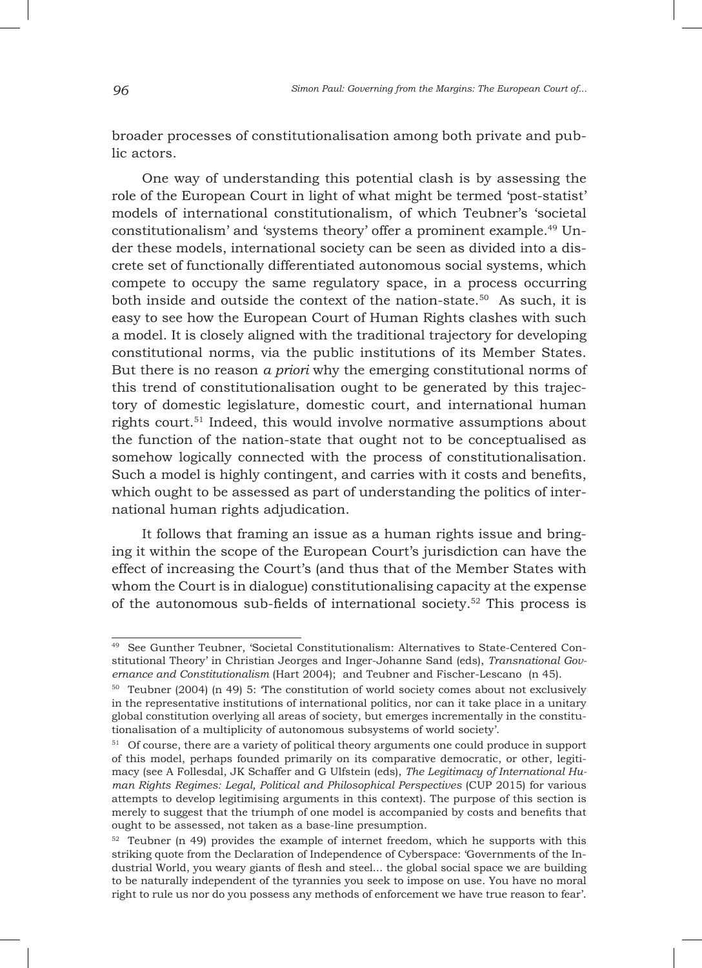broader processes of constitutionalisation among both private and public actors.

One way of understanding this potential clash is by assessing the role of the European Court in light of what might be termed 'post-statist' models of international constitutionalism, of which Teubner's 'societal constitutionalism' and 'systems theory' offer a prominent example.49 Under these models, international society can be seen as divided into a discrete set of functionally differentiated autonomous social systems, which compete to occupy the same regulatory space, in a process occurring both inside and outside the context of the nation-state.<sup>50</sup> As such, it is easy to see how the European Court of Human Rights clashes with such a model. It is closely aligned with the traditional trajectory for developing constitutional norms, via the public institutions of its Member States. But there is no reason *a priori* why the emerging constitutional norms of this trend of constitutionalisation ought to be generated by this trajectory of domestic legislature, domestic court, and international human rights court.<sup>51</sup> Indeed, this would involve normative assumptions about the function of the nation-state that ought not to be conceptualised as somehow logically connected with the process of constitutionalisation. Such a model is highly contingent, and carries with it costs and benefits, which ought to be assessed as part of understanding the politics of international human rights adjudication.

It follows that framing an issue as a human rights issue and bringing it within the scope of the European Court's jurisdiction can have the effect of increasing the Court's (and thus that of the Member States with whom the Court is in dialogue) constitutionalising capacity at the expense of the autonomous sub-fields of international society.52 This process is

<sup>49</sup> See Gunther Teubner, 'Societal Constitutionalism: Alternatives to State-Centered Constitutional Theory' in Christian Jeorges and Inger-Johanne Sand (eds), *Transnational Governance and Constitutionalism* (Hart 2004); and Teubner and Fischer-Lescano (n 45).

<sup>50</sup> Teubner (2004) (n 49) 5: 'The constitution of world society comes about not exclusively in the representative institutions of international politics, nor can it take place in a unitary global constitution overlying all areas of society, but emerges incrementally in the constitutionalisation of a multiplicity of autonomous subsystems of world society'.

<sup>&</sup>lt;sup>51</sup> Of course, there are a variety of political theory arguments one could produce in support of this model, perhaps founded primarily on its comparative democratic, or other, legitimacy (see A Follesdal, JK Schaffer and G Ulfstein (eds), *The Legitimacy of International Human Rights Regimes: Legal, Political and Philosophical Perspectives* (CUP 2015) for various attempts to develop legitimising arguments in this context). The purpose of this section is merely to suggest that the triumph of one model is accompanied by costs and benefits that ought to be assessed, not taken as a base-line presumption.

 $52$  Teubner (n 49) provides the example of internet freedom, which he supports with this striking quote from the Declaration of Independence of Cyberspace: 'Governments of the Industrial World, you weary giants of flesh and steel... the global social space we are building to be naturally independent of the tyrannies you seek to impose on use. You have no moral right to rule us nor do you possess any methods of enforcement we have true reason to fear'.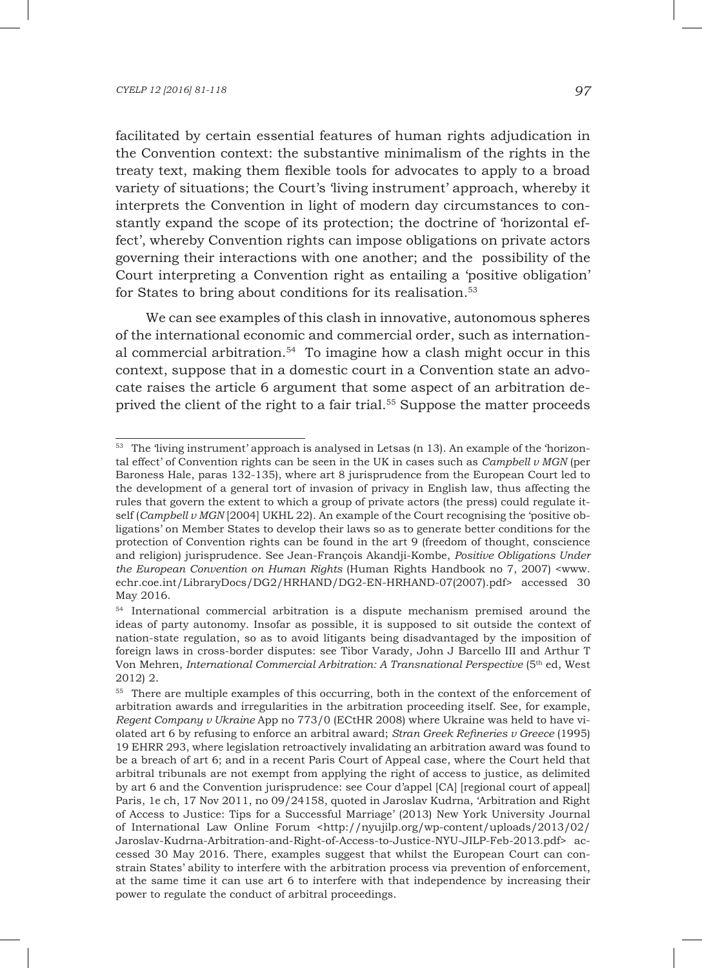facilitated by certain essential features of human rights adjudication in the Convention context: the substantive minimalism of the rights in the treaty text, making them flexible tools for advocates to apply to a broad variety of situations; the Court's 'living instrument' approach, whereby it interprets the Convention in light of modern day circumstances to constantly expand the scope of its protection; the doctrine of 'horizontal effect', whereby Convention rights can impose obligations on private actors governing their interactions with one another; and the possibility of the Court interpreting a Convention right as entailing a 'positive obligation' for States to bring about conditions for its realisation.<sup>53</sup>

We can see examples of this clash in innovative, autonomous spheres of the international economic and commercial order, such as international commercial arbitration.<sup>54</sup> To imagine how a clash might occur in this context, suppose that in a domestic court in a Convention state an advocate raises the article 6 argument that some aspect of an arbitration deprived the client of the right to a fair trial.<sup>55</sup> Suppose the matter proceeds

<sup>&</sup>lt;sup>53</sup> The 'living instrument' approach is analysed in Letsas (n 13). An example of the 'horizontal effect' of Convention rights can be seen in the UK in cases such as *Campbell v MGN* (per Baroness Hale, paras 132-135), where art 8 jurisprudence from the European Court led to the development of a general tort of invasion of privacy in English law, thus affecting the rules that govern the extent to which a group of private actors (the press) could regulate itself (*Campbell v MGN* [2004] UKHL 22). An example of the Court recognising the 'positive obligations' on Member States to develop their laws so as to generate better conditions for the protection of Convention rights can be found in the art 9 (freedom of thought, conscience and religion) jurisprudence. See Jean-François Akandji-Kombe, *Positive Obligations Under the European Convention on Human Rights* (Human Rights Handbook no 7, 2007) <www. echr.coe.int/LibraryDocs/DG2/HRHAND/DG2-EN-HRHAND-07(2007).pdf> accessed 30 May 2016.

<sup>54</sup> International commercial arbitration is a dispute mechanism premised around the ideas of party autonomy. Insofar as possible, it is supposed to sit outside the context of nation-state regulation, so as to avoid litigants being disadvantaged by the imposition of foreign laws in cross-border disputes: see Tibor Varady, John J Barcello III and Arthur T Von Mehren, *International Commercial Arbitration: A Transnational Perspective* (5th ed, West 2012) 2.

<sup>&</sup>lt;sup>55</sup> There are multiple examples of this occurring, both in the context of the enforcement of arbitration awards and irregularities in the arbitration proceeding itself. See, for example, *Regent Company v Ukraine* App no 773/0 (ECtHR 2008) where Ukraine was held to have violated art 6 by refusing to enforce an arbitral award; *Stran Greek Refineries v Greece* (1995) 19 EHRR 293, where legislation retroactively invalidating an arbitration award was found to be a breach of art 6; and in a recent Paris Court of Appeal case, where the Court held that arbitral tribunals are not exempt from applying the right of access to justice, as delimited by art 6 and the Convention jurisprudence: see Cour d'appel [CA] [regional court of appeal] Paris, 1e ch, 17 Nov 2011, no 09/24158, quoted in Jaroslav Kudrna, 'Arbitration and Right of Access to Justice: Tips for a Successful Marriage' (2013) New York University Journal of International Law Online Forum <http://nyujilp.org/wp-content/uploads/2013/02/ Jaroslav-Kudrna-Arbitration-and-Right-of-Access-to-Justice-NYU-JILP-Feb-2013.pdf> accessed 30 May 2016. There, examples suggest that whilst the European Court can constrain States' ability to interfere with the arbitration process via prevention of enforcement, at the same time it can use art 6 to interfere with that independence by increasing their power to regulate the conduct of arbitral proceedings.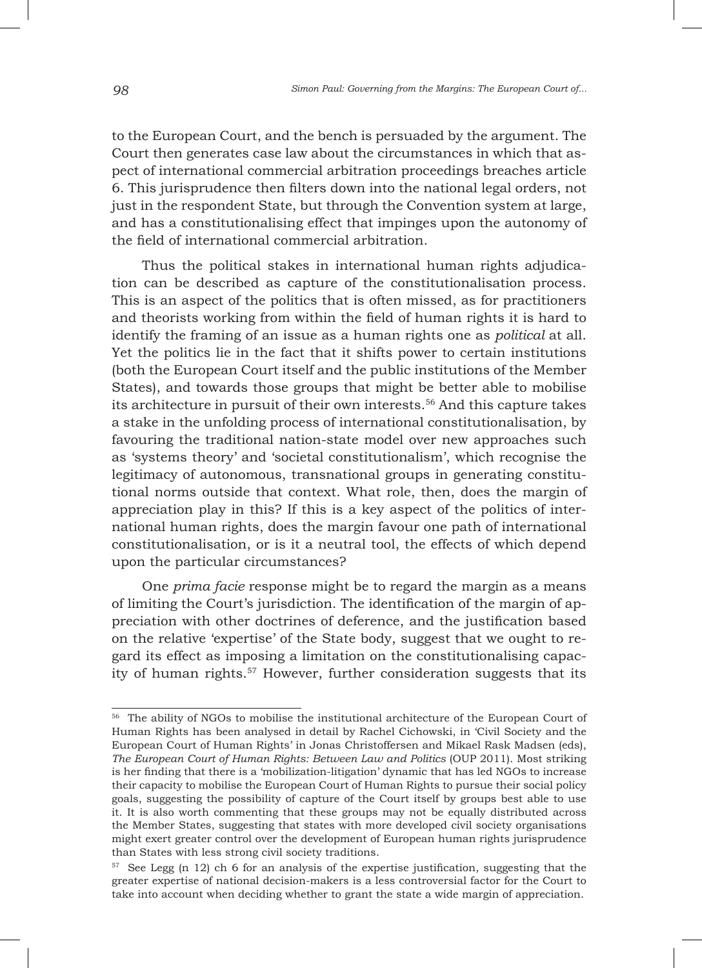to the European Court, and the bench is persuaded by the argument. The Court then generates case law about the circumstances in which that aspect of international commercial arbitration proceedings breaches article 6. This jurisprudence then filters down into the national legal orders, not just in the respondent State, but through the Convention system at large, and has a constitutionalising effect that impinges upon the autonomy of the field of international commercial arbitration.

Thus the political stakes in international human rights adjudication can be described as capture of the constitutionalisation process. This is an aspect of the politics that is often missed, as for practitioners and theorists working from within the field of human rights it is hard to identify the framing of an issue as a human rights one as *political* at all. Yet the politics lie in the fact that it shifts power to certain institutions (both the European Court itself and the public institutions of the Member States), and towards those groups that might be better able to mobilise its architecture in pursuit of their own interests.56 And this capture takes a stake in the unfolding process of international constitutionalisation, by favouring the traditional nation-state model over new approaches such as 'systems theory' and 'societal constitutionalism', which recognise the legitimacy of autonomous, transnational groups in generating constitutional norms outside that context. What role, then, does the margin of appreciation play in this? If this is a key aspect of the politics of international human rights, does the margin favour one path of international constitutionalisation, or is it a neutral tool, the effects of which depend upon the particular circumstances?

One *prima facie* response might be to regard the margin as a means of limiting the Court's jurisdiction. The identification of the margin of appreciation with other doctrines of deference, and the justification based on the relative 'expertise' of the State body, suggest that we ought to regard its effect as imposing a limitation on the constitutionalising capacity of human rights.<sup>57</sup> However, further consideration suggests that its

<sup>56</sup> The ability of NGOs to mobilise the institutional architecture of the European Court of Human Rights has been analysed in detail by Rachel Cichowski, in 'Civil Society and the European Court of Human Rights' in Jonas Christoffersen and Mikael Rask Madsen (eds), *The European Court of Human Rights: Between Law and Politics* (OUP 2011). Most striking is her finding that there is a 'mobilization-litigation' dynamic that has led NGOs to increase their capacity to mobilise the European Court of Human Rights to pursue their social policy goals, suggesting the possibility of capture of the Court itself by groups best able to use it. It is also worth commenting that these groups may not be equally distributed across the Member States, suggesting that states with more developed civil society organisations might exert greater control over the development of European human rights jurisprudence than States with less strong civil society traditions.

<sup>57</sup> See Legg (n 12) ch 6 for an analysis of the expertise justification, suggesting that the greater expertise of national decision-makers is a less controversial factor for the Court to take into account when deciding whether to grant the state a wide margin of appreciation.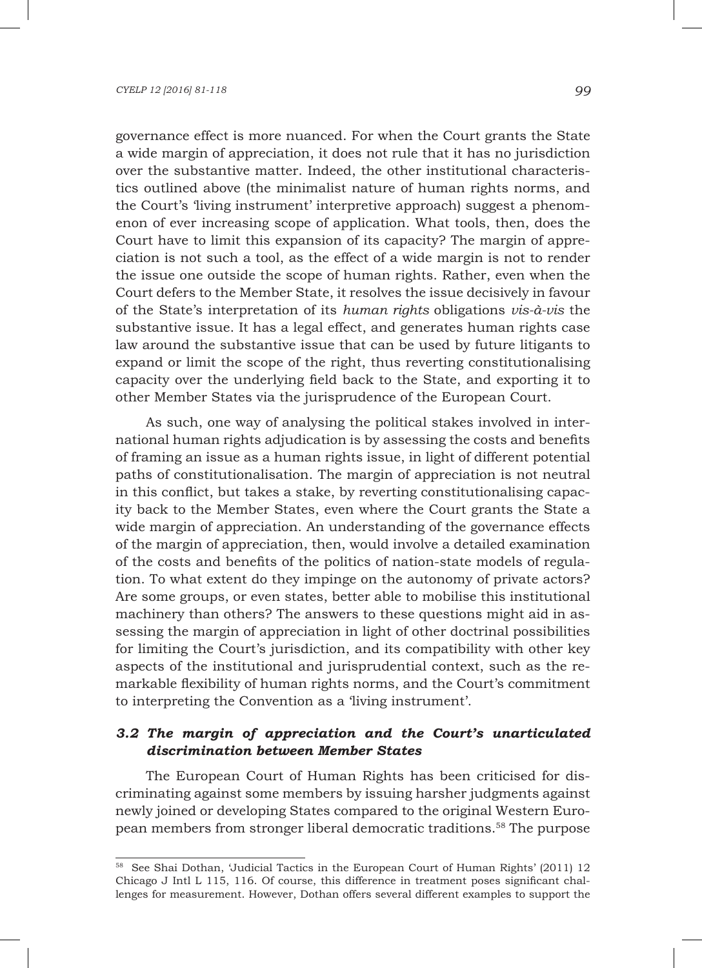governance effect is more nuanced. For when the Court grants the State a wide margin of appreciation, it does not rule that it has no jurisdiction over the substantive matter. Indeed, the other institutional characteristics outlined above (the minimalist nature of human rights norms, and the Court's 'living instrument' interpretive approach) suggest a phenomenon of ever increasing scope of application. What tools, then, does the Court have to limit this expansion of its capacity? The margin of appreciation is not such a tool, as the effect of a wide margin is not to render the issue one outside the scope of human rights. Rather, even when the Court defers to the Member State, it resolves the issue decisively in favour of the State's interpretation of its *human rights* obligations *vis-à-vis* the substantive issue. It has a legal effect, and generates human rights case law around the substantive issue that can be used by future litigants to expand or limit the scope of the right, thus reverting constitutionalising capacity over the underlying field back to the State, and exporting it to other Member States via the jurisprudence of the European Court.

As such, one way of analysing the political stakes involved in international human rights adjudication is by assessing the costs and benefits of framing an issue as a human rights issue, in light of different potential paths of constitutionalisation. The margin of appreciation is not neutral in this conflict, but takes a stake, by reverting constitutionalising capacity back to the Member States, even where the Court grants the State a wide margin of appreciation. An understanding of the governance effects of the margin of appreciation, then, would involve a detailed examination of the costs and benefits of the politics of nation-state models of regulation. To what extent do they impinge on the autonomy of private actors? Are some groups, or even states, better able to mobilise this institutional machinery than others? The answers to these questions might aid in assessing the margin of appreciation in light of other doctrinal possibilities for limiting the Court's jurisdiction, and its compatibility with other key aspects of the institutional and jurisprudential context, such as the remarkable flexibility of human rights norms, and the Court's commitment to interpreting the Convention as a 'living instrument'.

# *3.2 The margin of appreciation and the Court's unarticulated discrimination between Member States*

The European Court of Human Rights has been criticised for discriminating against some members by issuing harsher judgments against newly joined or developing States compared to the original Western European members from stronger liberal democratic traditions.58 The purpose

<sup>58</sup> See Shai Dothan, 'Judicial Tactics in the European Court of Human Rights' (2011) 12 Chicago J Intl L 115, 116. Of course, this difference in treatment poses significant challenges for measurement. However, Dothan offers several different examples to support the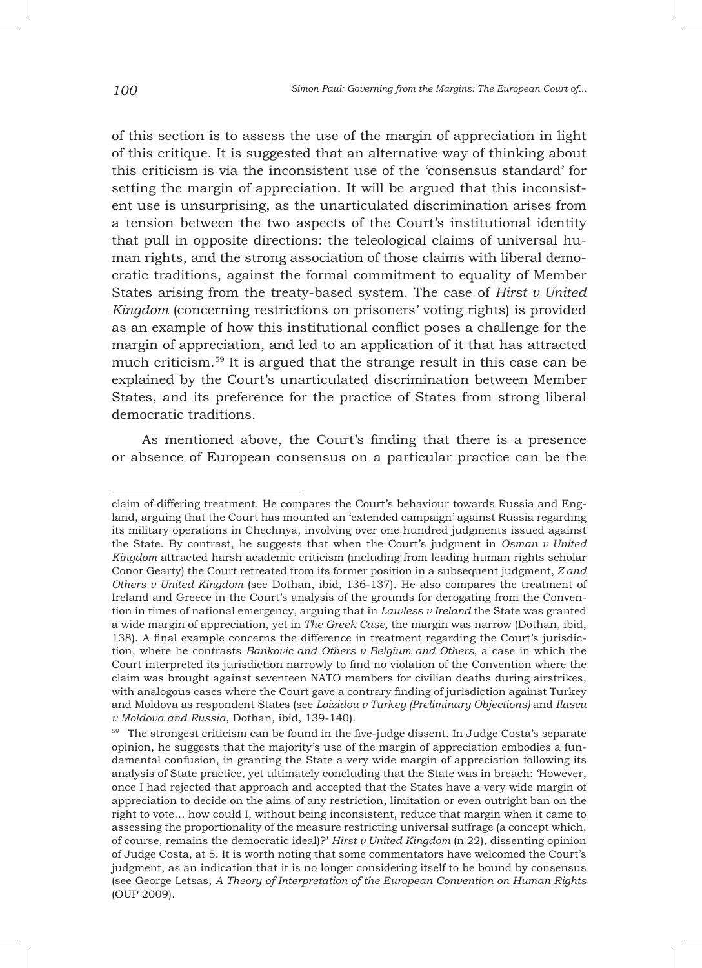of this section is to assess the use of the margin of appreciation in light of this critique. It is suggested that an alternative way of thinking about this criticism is via the inconsistent use of the 'consensus standard' for setting the margin of appreciation. It will be argued that this inconsistent use is unsurprising, as the unarticulated discrimination arises from a tension between the two aspects of the Court's institutional identity that pull in opposite directions: the teleological claims of universal human rights, and the strong association of those claims with liberal democratic traditions, against the formal commitment to equality of Member States arising from the treaty-based system. The case of *Hirst v United Kingdom* (concerning restrictions on prisoners' voting rights) is provided as an example of how this institutional conflict poses a challenge for the margin of appreciation, and led to an application of it that has attracted much criticism.59 It is argued that the strange result in this case can be explained by the Court's unarticulated discrimination between Member States, and its preference for the practice of States from strong liberal democratic traditions.

As mentioned above, the Court's finding that there is a presence or absence of European consensus on a particular practice can be the

claim of differing treatment. He compares the Court's behaviour towards Russia and England, arguing that the Court has mounted an 'extended campaign' against Russia regarding its military operations in Chechnya, involving over one hundred judgments issued against the State. By contrast, he suggests that when the Court's judgment in *Osman v United Kingdom* attracted harsh academic criticism (including from leading human rights scholar Conor Gearty) the Court retreated from its former position in a subsequent judgment, *Z and Others v United Kingdom* (see Dothan, ibid*,* 136-137). He also compares the treatment of Ireland and Greece in the Court's analysis of the grounds for derogating from the Convention in times of national emergency, arguing that in *Lawless v Ireland* the State was granted a wide margin of appreciation, yet in *The Greek Case,* the margin was narrow (Dothan, ibid, 138). A final example concerns the difference in treatment regarding the Court's jurisdiction, where he contrasts *Bankovic and Others v Belgium and Others*, a case in which the Court interpreted its jurisdiction narrowly to find no violation of the Convention where the claim was brought against seventeen NATO members for civilian deaths during airstrikes, with analogous cases where the Court gave a contrary finding of jurisdiction against Turkey and Moldova as respondent States (see *Loizidou v Turkey (Preliminary Objections)* and *Ilascu v Moldova and Russia*, Dothan, ibid, 139-140).

<sup>&</sup>lt;sup>59</sup> The strongest criticism can be found in the five-judge dissent. In Judge Costa's separate opinion, he suggests that the majority's use of the margin of appreciation embodies a fundamental confusion, in granting the State a very wide margin of appreciation following its analysis of State practice, yet ultimately concluding that the State was in breach: 'However, once I had rejected that approach and accepted that the States have a very wide margin of appreciation to decide on the aims of any restriction, limitation or even outright ban on the right to vote… how could I, without being inconsistent, reduce that margin when it came to assessing the proportionality of the measure restricting universal suffrage (a concept which, of course, remains the democratic ideal)?' *Hirst v United Kingdom* (n 22), dissenting opinion of Judge Costa, at 5. It is worth noting that some commentators have welcomed the Court's judgment, as an indication that it is no longer considering itself to be bound by consensus (see George Letsas, *A Theory of Interpretation of the European Convention on Human Rights* (OUP 2009).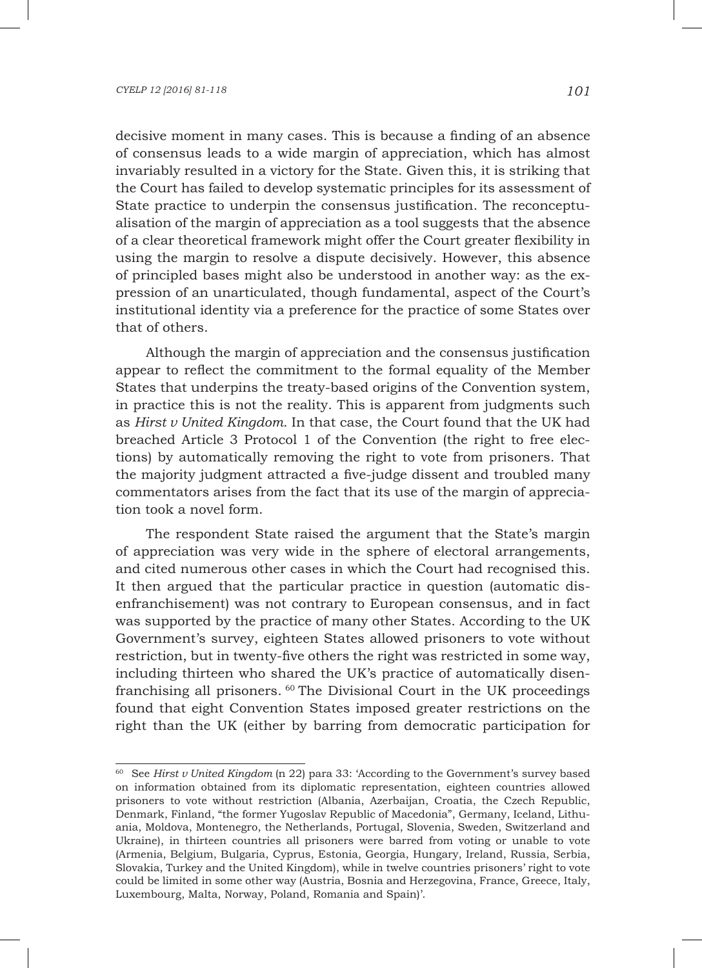decisive moment in many cases. This is because a finding of an absence of consensus leads to a wide margin of appreciation, which has almost invariably resulted in a victory for the State. Given this, it is striking that the Court has failed to develop systematic principles for its assessment of State practice to underpin the consensus justification. The reconceptualisation of the margin of appreciation as a tool suggests that the absence of a clear theoretical framework might offer the Court greater flexibility in using the margin to resolve a dispute decisively. However, this absence of principled bases might also be understood in another way: as the expression of an unarticulated, though fundamental, aspect of the Court's institutional identity via a preference for the practice of some States over that of others.

Although the margin of appreciation and the consensus justification appear to reflect the commitment to the formal equality of the Member States that underpins the treaty-based origins of the Convention system, in practice this is not the reality. This is apparent from judgments such as *Hirst v United Kingdom*. In that case, the Court found that the UK had breached Article 3 Protocol 1 of the Convention (the right to free elections) by automatically removing the right to vote from prisoners. That the majority judgment attracted a five-judge dissent and troubled many commentators arises from the fact that its use of the margin of appreciation took a novel form.

The respondent State raised the argument that the State's margin of appreciation was very wide in the sphere of electoral arrangements, and cited numerous other cases in which the Court had recognised this. It then argued that the particular practice in question (automatic disenfranchisement) was not contrary to European consensus, and in fact was supported by the practice of many other States. According to the UK Government's survey, eighteen States allowed prisoners to vote without restriction, but in twenty-five others the right was restricted in some way, including thirteen who shared the UK's practice of automatically disenfranchising all prisoners. 60 The Divisional Court in the UK proceedings found that eight Convention States imposed greater restrictions on the right than the UK (either by barring from democratic participation for

<sup>60</sup> See *Hirst v United Kingdom* (n 22) para 33: 'According to the Government's survey based on information obtained from its diplomatic representation, eighteen countries allowed prisoners to vote without restriction (Albania, Azerbaijan, Croatia, the Czech Republic, Denmark, Finland, "the former Yugoslav Republic of Macedonia", Germany, Iceland, Lithuania, Moldova, Montenegro, the Netherlands, Portugal, Slovenia, Sweden, Switzerland and Ukraine), in thirteen countries all prisoners were barred from voting or unable to vote (Armenia, Belgium, Bulgaria, Cyprus, Estonia, Georgia, Hungary, Ireland, Russia, Serbia, Slovakia, Turkey and the United Kingdom), while in twelve countries prisoners' right to vote could be limited in some other way (Austria, Bosnia and Herzegovina, France, Greece, Italy, Luxembourg, Malta, Norway, Poland, Romania and Spain)'.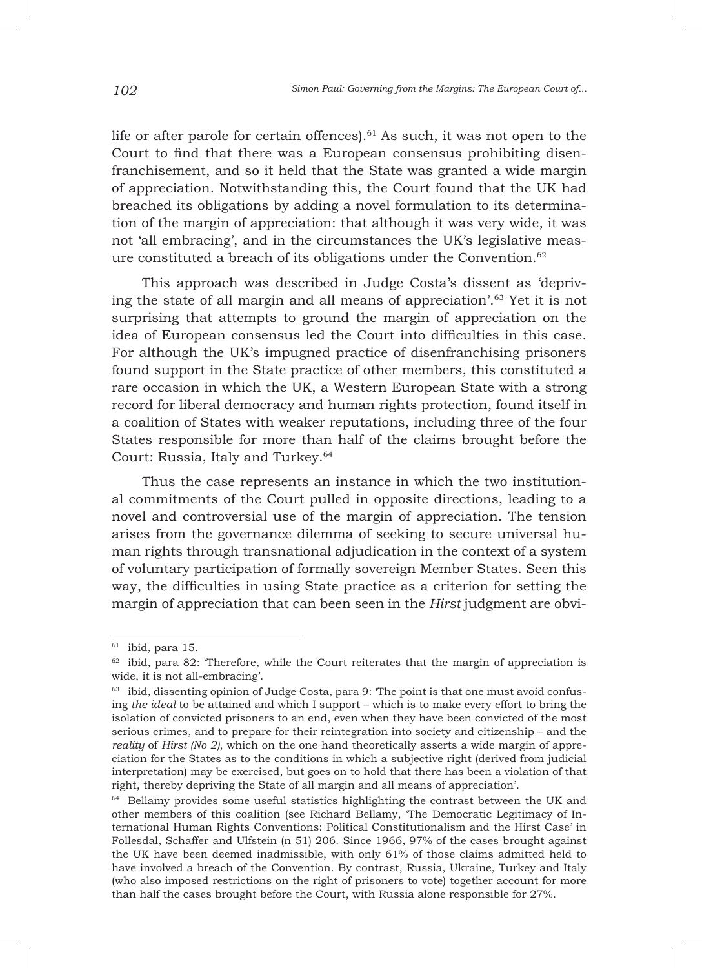life or after parole for certain offences).<sup>61</sup> As such, it was not open to the Court to find that there was a European consensus prohibiting disenfranchisement, and so it held that the State was granted a wide margin of appreciation. Notwithstanding this, the Court found that the UK had breached its obligations by adding a novel formulation to its determination of the margin of appreciation: that although it was very wide, it was not 'all embracing', and in the circumstances the UK's legislative measure constituted a breach of its obligations under the Convention. $62$ 

This approach was described in Judge Costa's dissent as 'depriving the state of all margin and all means of appreciation'.63 Yet it is not surprising that attempts to ground the margin of appreciation on the idea of European consensus led the Court into difficulties in this case. For although the UK's impugned practice of disenfranchising prisoners found support in the State practice of other members, this constituted a rare occasion in which the UK, a Western European State with a strong record for liberal democracy and human rights protection, found itself in a coalition of States with weaker reputations, including three of the four States responsible for more than half of the claims brought before the Court: Russia, Italy and Turkey.64

Thus the case represents an instance in which the two institutional commitments of the Court pulled in opposite directions, leading to a novel and controversial use of the margin of appreciation. The tension arises from the governance dilemma of seeking to secure universal human rights through transnational adjudication in the context of a system of voluntary participation of formally sovereign Member States. Seen this way, the difficulties in using State practice as a criterion for setting the margin of appreciation that can been seen in the *Hirst* judgment are obvi-

 $61$  ibid, para 15.

<sup>&</sup>lt;sup>62</sup> ibid, para 82: Therefore, while the Court reiterates that the margin of appreciation is wide, it is not all-embracing'.

<sup>&</sup>lt;sup>63</sup> ibid, dissenting opinion of Judge Costa, para 9: 'The point is that one must avoid confusing *the ideal* to be attained and which I support – which is to make every effort to bring the isolation of convicted prisoners to an end, even when they have been convicted of the most serious crimes, and to prepare for their reintegration into society and citizenship – and the *reality* of *Hirst (No 2)*, which on the one hand theoretically asserts a wide margin of appreciation for the States as to the conditions in which a subjective right (derived from judicial interpretation) may be exercised, but goes on to hold that there has been a violation of that right, thereby depriving the State of all margin and all means of appreciation'.

<sup>&</sup>lt;sup>64</sup> Bellamy provides some useful statistics highlighting the contrast between the UK and other members of this coalition (see Richard Bellamy, 'The Democratic Legitimacy of International Human Rights Conventions: Political Constitutionalism and the Hirst Case' in Follesdal, Schaffer and Ulfstein (n 51) 206. Since 1966, 97% of the cases brought against the UK have been deemed inadmissible, with only 61% of those claims admitted held to have involved a breach of the Convention. By contrast, Russia, Ukraine, Turkey and Italy (who also imposed restrictions on the right of prisoners to vote) together account for more than half the cases brought before the Court, with Russia alone responsible for 27%.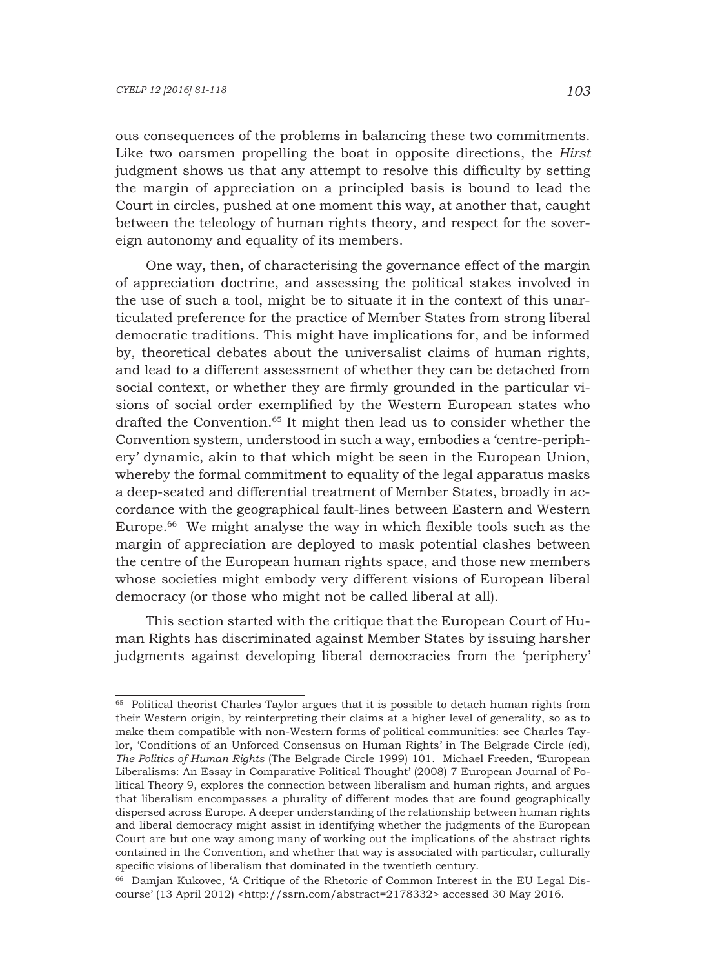#### *CYELP 12 [2016] 81-118 103*

ous consequences of the problems in balancing these two commitments. Like two oarsmen propelling the boat in opposite directions, the *Hirst* judgment shows us that any attempt to resolve this difficulty by setting the margin of appreciation on a principled basis is bound to lead the Court in circles, pushed at one moment this way, at another that, caught between the teleology of human rights theory, and respect for the sovereign autonomy and equality of its members.

One way, then, of characterising the governance effect of the margin of appreciation doctrine, and assessing the political stakes involved in the use of such a tool, might be to situate it in the context of this unarticulated preference for the practice of Member States from strong liberal democratic traditions. This might have implications for, and be informed by, theoretical debates about the universalist claims of human rights, and lead to a different assessment of whether they can be detached from social context, or whether they are firmly grounded in the particular visions of social order exemplified by the Western European states who drafted the Convention.65 It might then lead us to consider whether the Convention system, understood in such a way, embodies a 'centre-periphery' dynamic, akin to that which might be seen in the European Union, whereby the formal commitment to equality of the legal apparatus masks a deep-seated and differential treatment of Member States, broadly in accordance with the geographical fault-lines between Eastern and Western Europe.66 We might analyse the way in which flexible tools such as the margin of appreciation are deployed to mask potential clashes between the centre of the European human rights space, and those new members whose societies might embody very different visions of European liberal democracy (or those who might not be called liberal at all).

This section started with the critique that the European Court of Human Rights has discriminated against Member States by issuing harsher judgments against developing liberal democracies from the 'periphery'

<sup>&</sup>lt;sup>65</sup> Political theorist Charles Taylor argues that it is possible to detach human rights from their Western origin, by reinterpreting their claims at a higher level of generality, so as to make them compatible with non-Western forms of political communities: see Charles Taylor, 'Conditions of an Unforced Consensus on Human Rights' in The Belgrade Circle (ed), *The Politics of Human Rights* (The Belgrade Circle 1999) 101. Michael Freeden, 'European Liberalisms: An Essay in Comparative Political Thought' (2008) 7 European Journal of Political Theory 9, explores the connection between liberalism and human rights, and argues that liberalism encompasses a plurality of different modes that are found geographically dispersed across Europe. A deeper understanding of the relationship between human rights and liberal democracy might assist in identifying whether the judgments of the European Court are but one way among many of working out the implications of the abstract rights contained in the Convention, and whether that way is associated with particular, culturally specific visions of liberalism that dominated in the twentieth century.

<sup>66</sup> Damjan Kukovec, 'A Critique of the Rhetoric of Common Interest in the EU Legal Discourse' (13 April 2012) <http://ssrn.com/abstract=2178332> accessed 30 May 2016.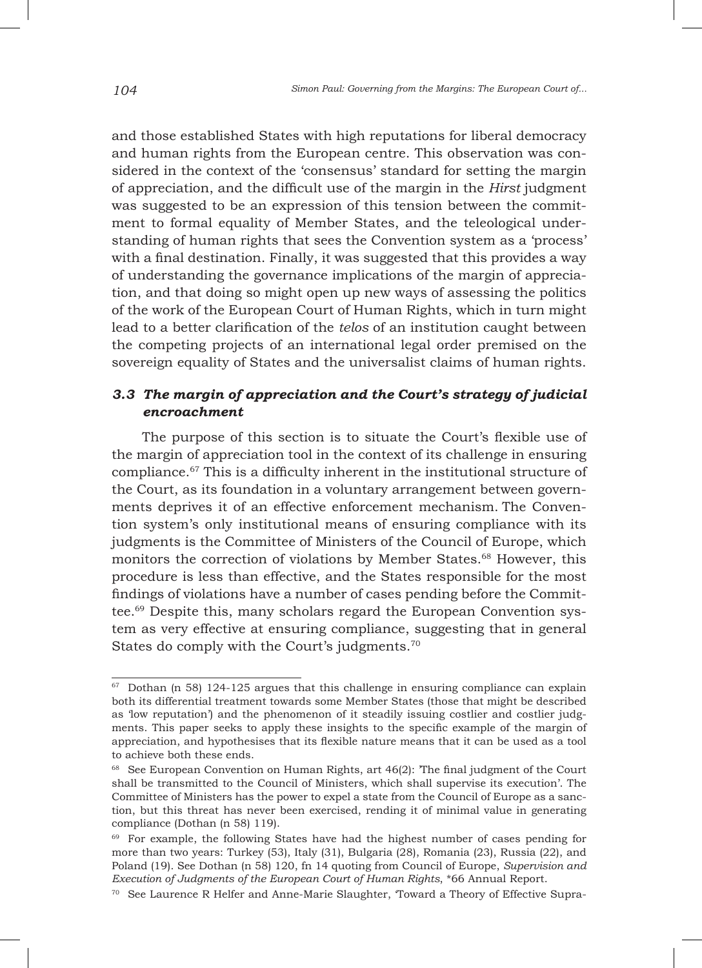and those established States with high reputations for liberal democracy and human rights from the European centre. This observation was considered in the context of the 'consensus' standard for setting the margin of appreciation, and the difficult use of the margin in the *Hirst* judgment was suggested to be an expression of this tension between the commitment to formal equality of Member States, and the teleological understanding of human rights that sees the Convention system as a 'process' with a final destination. Finally, it was suggested that this provides a way of understanding the governance implications of the margin of appreciation, and that doing so might open up new ways of assessing the politics of the work of the European Court of Human Rights, which in turn might lead to a better clarification of the *telos* of an institution caught between the competing projects of an international legal order premised on the sovereign equality of States and the universalist claims of human rights.

# *3.3 The margin of appreciation and the Court's strategy of judicial encroachment*

The purpose of this section is to situate the Court's flexible use of the margin of appreciation tool in the context of its challenge in ensuring compliance.67 This is a difficulty inherent in the institutional structure of the Court, as its foundation in a voluntary arrangement between governments deprives it of an effective enforcement mechanism. The Convention system's only institutional means of ensuring compliance with its judgments is the Committee of Ministers of the Council of Europe, which monitors the correction of violations by Member States.68 However, this procedure is less than effective, and the States responsible for the most findings of violations have a number of cases pending before the Committee.69 Despite this, many scholars regard the European Convention system as very effective at ensuring compliance, suggesting that in general States do comply with the Court's judgments.<sup>70</sup>

 $67$  Dothan (n 58) 124-125 argues that this challenge in ensuring compliance can explain both its differential treatment towards some Member States (those that might be described as 'low reputation') and the phenomenon of it steadily issuing costlier and costlier judgments. This paper seeks to apply these insights to the specific example of the margin of appreciation, and hypothesises that its flexible nature means that it can be used as a tool to achieve both these ends.

 $68$  See European Convention on Human Rights, art  $46(2)$ : The final judgment of the Court shall be transmitted to the Council of Ministers, which shall supervise its execution'. The Committee of Ministers has the power to expel a state from the Council of Europe as a sanction, but this threat has never been exercised, rending it of minimal value in generating compliance (Dothan (n 58) 119).

<sup>&</sup>lt;sup>69</sup> For example, the following States have had the highest number of cases pending for more than two years: Turkey (53), Italy (31), Bulgaria (28), Romania (23), Russia (22), and Poland (19). See Dothan (n 58) 120, fn 14 quoting from Council of Europe, *Supervision and Execution of Judgments of the European Court of Human Rights*, \*66 Annual Report.

<sup>70</sup> See Laurence R Helfer and Anne-Marie Slaughter, 'Toward a Theory of Effective Supra-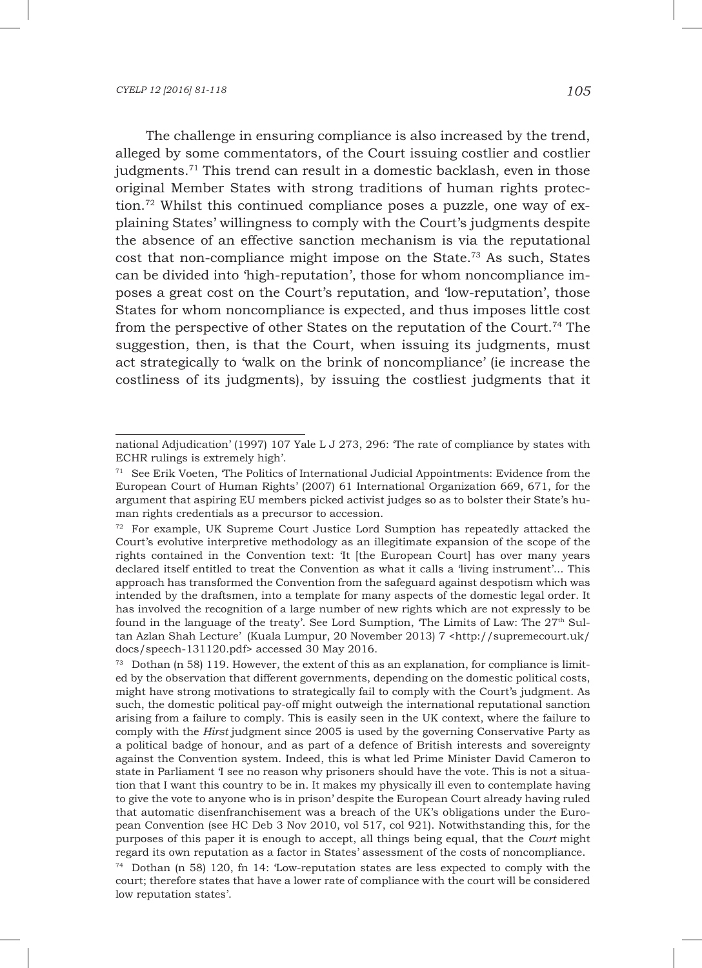The challenge in ensuring compliance is also increased by the trend, alleged by some commentators, of the Court issuing costlier and costlier judgments.71 This trend can result in a domestic backlash, even in those original Member States with strong traditions of human rights protection.72 Whilst this continued compliance poses a puzzle, one way of explaining States' willingness to comply with the Court's judgments despite the absence of an effective sanction mechanism is via the reputational cost that non-compliance might impose on the State.<sup>73</sup> As such, States can be divided into 'high-reputation', those for whom noncompliance imposes a great cost on the Court's reputation, and 'low-reputation', those States for whom noncompliance is expected, and thus imposes little cost from the perspective of other States on the reputation of the Court.74 The suggestion, then, is that the Court, when issuing its judgments, must act strategically to 'walk on the brink of noncompliance' (ie increase the costliness of its judgments), by issuing the costliest judgments that it

national Adjudication' (1997) 107 Yale L J 273, 296: 'The rate of compliance by states with ECHR rulings is extremely high'.

<sup>71</sup> See Erik Voeten, 'The Politics of International Judicial Appointments: Evidence from the European Court of Human Rights' (2007) 61 International Organization 669, 671, for the argument that aspiring EU members picked activist judges so as to bolster their State's human rights credentials as a precursor to accession.

 $72$  For example, UK Supreme Court Justice Lord Sumption has repeatedly attacked the Court's evolutive interpretive methodology as an illegitimate expansion of the scope of the rights contained in the Convention text: 'It [the European Court] has over many years declared itself entitled to treat the Convention as what it calls a 'living instrument'... This approach has transformed the Convention from the safeguard against despotism which was intended by the draftsmen, into a template for many aspects of the domestic legal order. It has involved the recognition of a large number of new rights which are not expressly to be found in the language of the treaty'. See Lord Sumption, The Limits of Law: The  $27<sup>th</sup>$  Sultan Azlan Shah Lecture' (Kuala Lumpur, 20 November 2013) 7 <http://supremecourt.uk/ docs/speech-131120.pdf> accessed 30 May 2016.

 $73$  Dothan (n 58) 119. However, the extent of this as an explanation, for compliance is limited by the observation that different governments, depending on the domestic political costs, might have strong motivations to strategically fail to comply with the Court's judgment. As such, the domestic political pay-off might outweigh the international reputational sanction arising from a failure to comply. This is easily seen in the UK context, where the failure to comply with the *Hirst* judgment since 2005 is used by the governing Conservative Party as a political badge of honour, and as part of a defence of British interests and sovereignty against the Convention system. Indeed, this is what led Prime Minister David Cameron to state in Parliament T see no reason why prisoners should have the vote. This is not a situation that I want this country to be in. It makes my physically ill even to contemplate having to give the vote to anyone who is in prison' despite the European Court already having ruled that automatic disenfranchisement was a breach of the UK's obligations under the European Convention (see HC Deb 3 Nov 2010, vol 517, col 921). Notwithstanding this, for the purposes of this paper it is enough to accept, all things being equal, that the *Court* might regard its own reputation as a factor in States' assessment of the costs of noncompliance.

<sup>74</sup> Dothan (n 58) 120, fn 14: 'Low-reputation states are less expected to comply with the court; therefore states that have a lower rate of compliance with the court will be considered low reputation states'.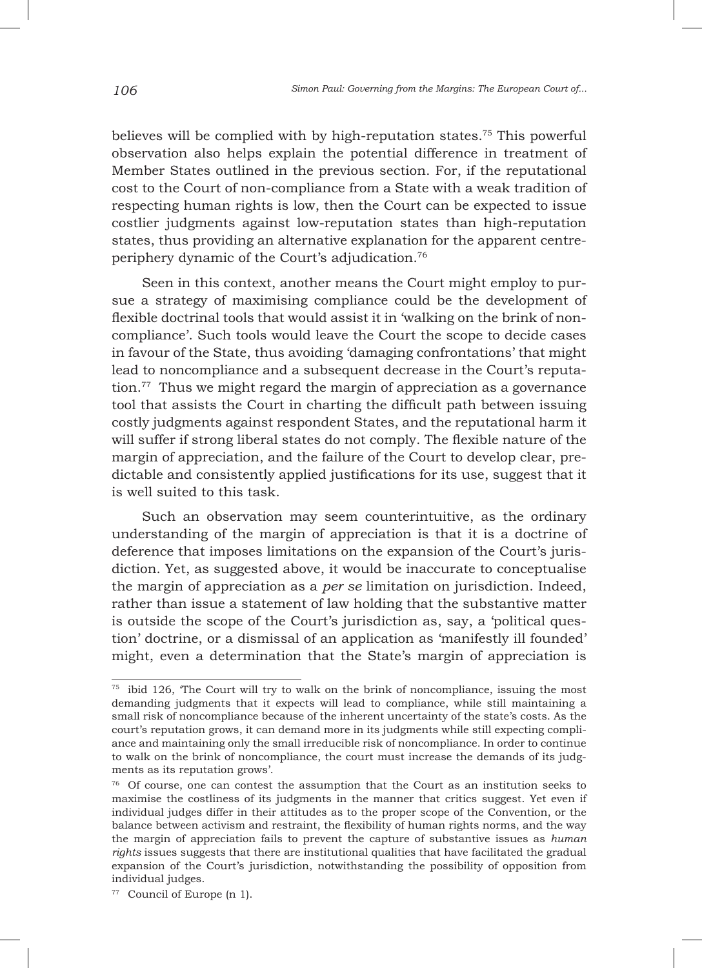believes will be complied with by high-reputation states.75 This powerful observation also helps explain the potential difference in treatment of Member States outlined in the previous section. For, if the reputational cost to the Court of non-compliance from a State with a weak tradition of respecting human rights is low, then the Court can be expected to issue costlier judgments against low-reputation states than high-reputation states, thus providing an alternative explanation for the apparent centreperiphery dynamic of the Court's adjudication.76

Seen in this context, another means the Court might employ to pursue a strategy of maximising compliance could be the development of flexible doctrinal tools that would assist it in 'walking on the brink of noncompliance'. Such tools would leave the Court the scope to decide cases in favour of the State, thus avoiding 'damaging confrontations' that might lead to noncompliance and a subsequent decrease in the Court's reputation.<sup>77</sup> Thus we might regard the margin of appreciation as a governance tool that assists the Court in charting the difficult path between issuing costly judgments against respondent States, and the reputational harm it will suffer if strong liberal states do not comply. The flexible nature of the margin of appreciation, and the failure of the Court to develop clear, predictable and consistently applied justifications for its use, suggest that it is well suited to this task.

Such an observation may seem counterintuitive, as the ordinary understanding of the margin of appreciation is that it is a doctrine of deference that imposes limitations on the expansion of the Court's jurisdiction. Yet, as suggested above, it would be inaccurate to conceptualise the margin of appreciation as a *per se* limitation on jurisdiction. Indeed, rather than issue a statement of law holding that the substantive matter is outside the scope of the Court's jurisdiction as, say, a 'political question' doctrine, or a dismissal of an application as 'manifestly ill founded' might, even a determination that the State's margin of appreciation is

<sup>&</sup>lt;sup>75</sup> ibid 126, 'The Court will try to walk on the brink of noncompliance, issuing the most demanding judgments that it expects will lead to compliance, while still maintaining a small risk of noncompliance because of the inherent uncertainty of the state's costs. As the court's reputation grows, it can demand more in its judgments while still expecting compliance and maintaining only the small irreducible risk of noncompliance. In order to continue to walk on the brink of noncompliance, the court must increase the demands of its judgments as its reputation grows'.

<sup>76</sup> Of course, one can contest the assumption that the Court as an institution seeks to maximise the costliness of its judgments in the manner that critics suggest. Yet even if individual judges differ in their attitudes as to the proper scope of the Convention, or the balance between activism and restraint, the flexibility of human rights norms, and the way the margin of appreciation fails to prevent the capture of substantive issues as *human rights* issues suggests that there are institutional qualities that have facilitated the gradual expansion of the Court's jurisdiction, notwithstanding the possibility of opposition from individual judges.

<sup>77</sup> Council of Europe (n 1).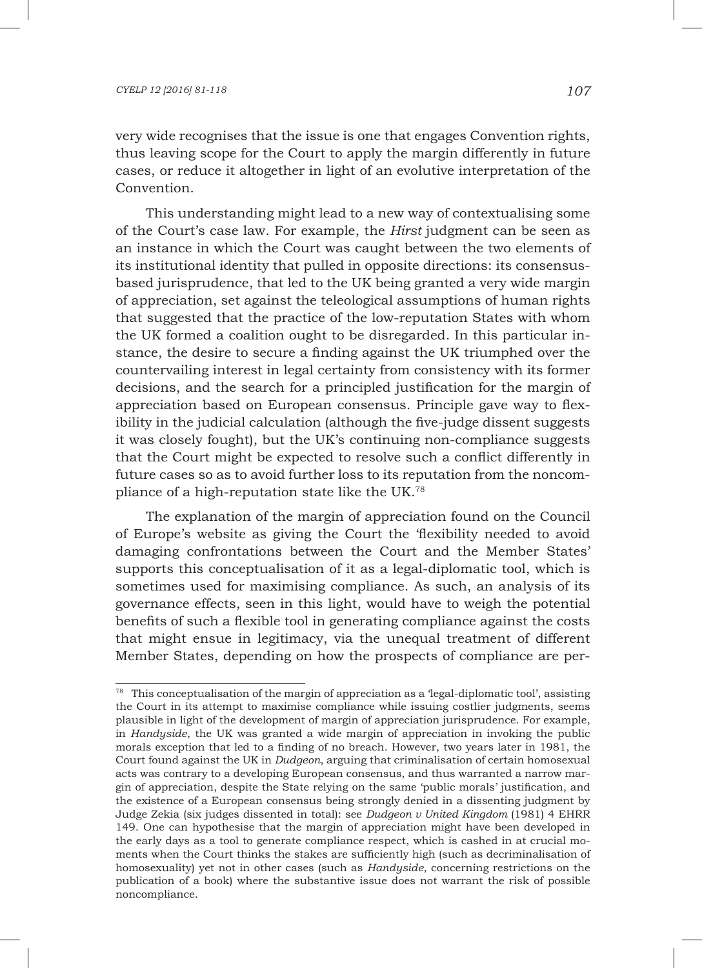very wide recognises that the issue is one that engages Convention rights, thus leaving scope for the Court to apply the margin differently in future cases, or reduce it altogether in light of an evolutive interpretation of the Convention.

This understanding might lead to a new way of contextualising some of the Court's case law. For example, the *Hirst* judgment can be seen as an instance in which the Court was caught between the two elements of its institutional identity that pulled in opposite directions: its consensusbased jurisprudence, that led to the UK being granted a very wide margin of appreciation, set against the teleological assumptions of human rights that suggested that the practice of the low-reputation States with whom the UK formed a coalition ought to be disregarded. In this particular instance, the desire to secure a finding against the UK triumphed over the countervailing interest in legal certainty from consistency with its former decisions, and the search for a principled justification for the margin of appreciation based on European consensus. Principle gave way to flexibility in the judicial calculation (although the five-judge dissent suggests it was closely fought), but the UK's continuing non-compliance suggests that the Court might be expected to resolve such a conflict differently in future cases so as to avoid further loss to its reputation from the noncompliance of a high-reputation state like the UK.78

The explanation of the margin of appreciation found on the Council of Europe's website as giving the Court the 'flexibility needed to avoid damaging confrontations between the Court and the Member States' supports this conceptualisation of it as a legal-diplomatic tool, which is sometimes used for maximising compliance. As such, an analysis of its governance effects, seen in this light, would have to weigh the potential benefits of such a flexible tool in generating compliance against the costs that might ensue in legitimacy, via the unequal treatment of different Member States, depending on how the prospects of compliance are per-

 $78$  This conceptualisation of the margin of appreciation as a 'legal-diplomatic tool', assisting the Court in its attempt to maximise compliance while issuing costlier judgments, seems plausible in light of the development of margin of appreciation jurisprudence. For example, in *Handyside*, the UK was granted a wide margin of appreciation in invoking the public morals exception that led to a finding of no breach. However, two years later in 1981, the Court found against the UK in *Dudgeon*, arguing that criminalisation of certain homosexual acts was contrary to a developing European consensus, and thus warranted a narrow margin of appreciation, despite the State relying on the same 'public morals' justification, and the existence of a European consensus being strongly denied in a dissenting judgment by Judge Zekia (six judges dissented in total): see *Dudgeon v United Kingdom* (1981) 4 EHRR 149. One can hypothesise that the margin of appreciation might have been developed in the early days as a tool to generate compliance respect, which is cashed in at crucial moments when the Court thinks the stakes are sufficiently high (such as decriminalisation of homosexuality) yet not in other cases (such as *Handyside*, concerning restrictions on the publication of a book) where the substantive issue does not warrant the risk of possible noncompliance.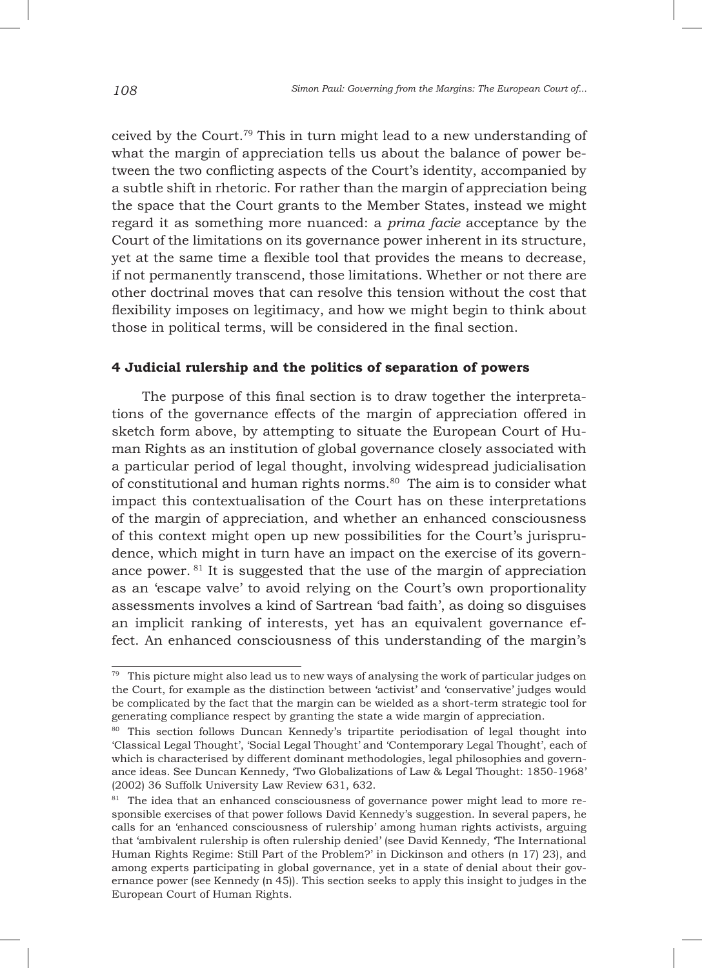ceived by the Court.79 This in turn might lead to a new understanding of what the margin of appreciation tells us about the balance of power between the two conflicting aspects of the Court's identity, accompanied by a subtle shift in rhetoric. For rather than the margin of appreciation being the space that the Court grants to the Member States, instead we might regard it as something more nuanced: a *prima facie* acceptance by the Court of the limitations on its governance power inherent in its structure, yet at the same time a flexible tool that provides the means to decrease, if not permanently transcend, those limitations. Whether or not there are other doctrinal moves that can resolve this tension without the cost that flexibility imposes on legitimacy, and how we might begin to think about those in political terms, will be considered in the final section.

# **4 Judicial rulership and the politics of separation of powers**

The purpose of this final section is to draw together the interpretations of the governance effects of the margin of appreciation offered in sketch form above, by attempting to situate the European Court of Human Rights as an institution of global governance closely associated with a particular period of legal thought, involving widespread judicialisation of constitutional and human rights norms.<sup>80</sup> The aim is to consider what impact this contextualisation of the Court has on these interpretations of the margin of appreciation, and whether an enhanced consciousness of this context might open up new possibilities for the Court's jurisprudence, which might in turn have an impact on the exercise of its governance power. 81 It is suggested that the use of the margin of appreciation as an 'escape valve' to avoid relying on the Court's own proportionality assessments involves a kind of Sartrean 'bad faith', as doing so disguises an implicit ranking of interests, yet has an equivalent governance effect. An enhanced consciousness of this understanding of the margin's

 $79$  This picture might also lead us to new ways of analysing the work of particular judges on the Court, for example as the distinction between 'activist' and 'conservative' judges would be complicated by the fact that the margin can be wielded as a short-term strategic tool for generating compliance respect by granting the state a wide margin of appreciation.

<sup>80</sup> This section follows Duncan Kennedy's tripartite periodisation of legal thought into 'Classical Legal Thought', 'Social Legal Thought' and 'Contemporary Legal Thought', each of which is characterised by different dominant methodologies, legal philosophies and governance ideas. See Duncan Kennedy, 'Two Globalizations of Law & Legal Thought: 1850-1968' (2002) 36 Suffolk University Law Review 631, 632.

<sup>&</sup>lt;sup>81</sup> The idea that an enhanced consciousness of governance power might lead to more responsible exercises of that power follows David Kennedy's suggestion. In several papers, he calls for an 'enhanced consciousness of rulership' among human rights activists, arguing that 'ambivalent rulership is often rulership denied' (see David Kennedy, 'The International Human Rights Regime: Still Part of the Problem?' in Dickinson and others (n 17) 23), and among experts participating in global governance, yet in a state of denial about their governance power (see Kennedy (n 45)). This section seeks to apply this insight to judges in the European Court of Human Rights.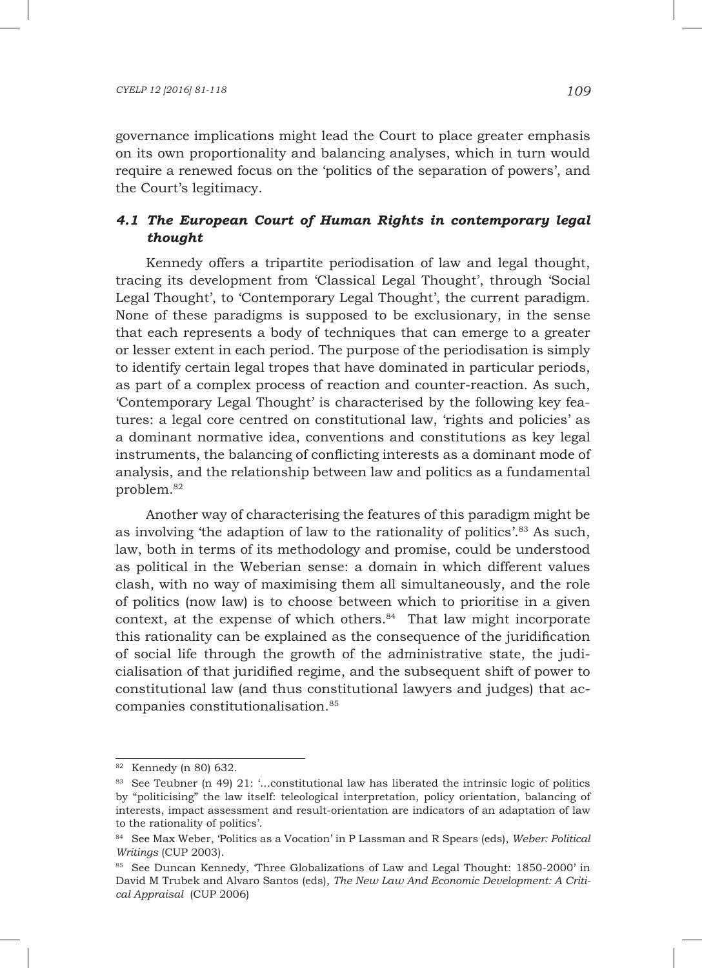governance implications might lead the Court to place greater emphasis on its own proportionality and balancing analyses, which in turn would require a renewed focus on the 'politics of the separation of powers', and the Court's legitimacy.

# *4.1 The European Court of Human Rights in contemporary legal thought*

Kennedy offers a tripartite periodisation of law and legal thought, tracing its development from 'Classical Legal Thought', through 'Social Legal Thought', to 'Contemporary Legal Thought', the current paradigm. None of these paradigms is supposed to be exclusionary, in the sense that each represents a body of techniques that can emerge to a greater or lesser extent in each period. The purpose of the periodisation is simply to identify certain legal tropes that have dominated in particular periods, as part of a complex process of reaction and counter-reaction. As such, 'Contemporary Legal Thought' is characterised by the following key features: a legal core centred on constitutional law, 'rights and policies' as a dominant normative idea, conventions and constitutions as key legal instruments, the balancing of conflicting interests as a dominant mode of analysis, and the relationship between law and politics as a fundamental problem.82

Another way of characterising the features of this paradigm might be as involving 'the adaption of law to the rationality of politics'.83 As such, law, both in terms of its methodology and promise, could be understood as political in the Weberian sense: a domain in which different values clash, with no way of maximising them all simultaneously, and the role of politics (now law) is to choose between which to prioritise in a given context, at the expense of which others.<sup>84</sup> That law might incorporate this rationality can be explained as the consequence of the juridification of social life through the growth of the administrative state, the judicialisation of that juridified regime, and the subsequent shift of power to constitutional law (and thus constitutional lawyers and judges) that accompanies constitutionalisation.85

<sup>82</sup> Kennedy (n 80) 632.

<sup>83</sup> See Teubner (n 49) 21: '...constitutional law has liberated the intrinsic logic of politics by "politicising" the law itself: teleological interpretation, policy orientation, balancing of interests, impact assessment and result-orientation are indicators of an adaptation of law to the rationality of politics'.

<sup>84</sup> See Max Weber, 'Politics as a Vocation' in P Lassman and R Spears (eds), *Weber: Political Writings* (CUP 2003).

<sup>85</sup> See Duncan Kennedy, 'Three Globalizations of Law and Legal Thought: 1850-2000' in David M Trubek and Alvaro Santos (eds), *The New Law And Economic Development: A Critical Appraisal* (CUP 2006)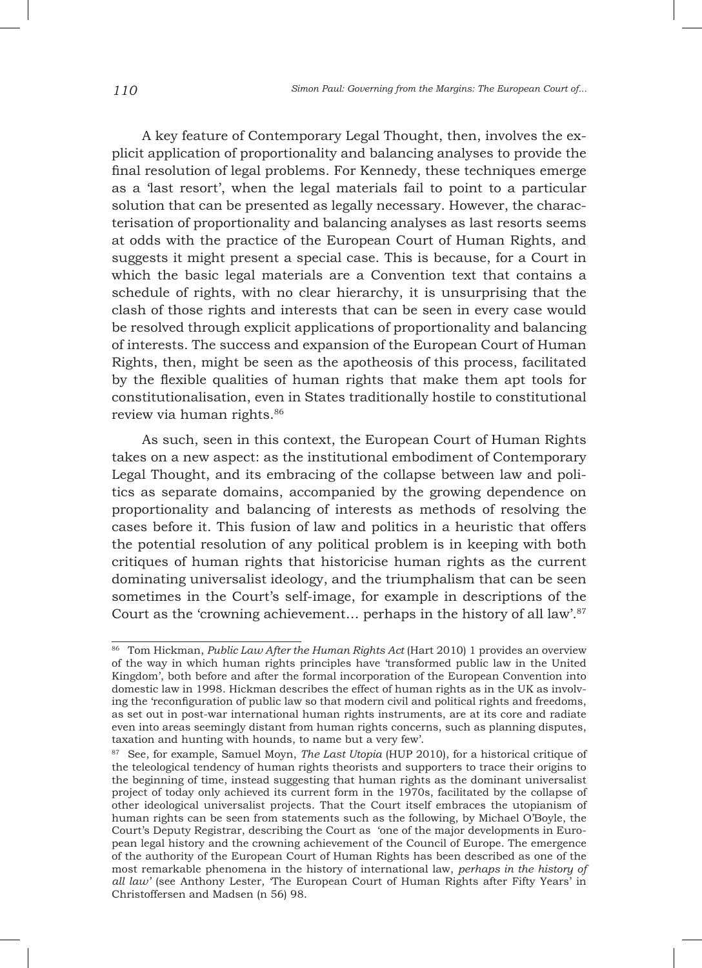A key feature of Contemporary Legal Thought, then, involves the explicit application of proportionality and balancing analyses to provide the final resolution of legal problems. For Kennedy, these techniques emerge as a 'last resort', when the legal materials fail to point to a particular solution that can be presented as legally necessary. However, the characterisation of proportionality and balancing analyses as last resorts seems at odds with the practice of the European Court of Human Rights, and suggests it might present a special case. This is because, for a Court in which the basic legal materials are a Convention text that contains a schedule of rights, with no clear hierarchy, it is unsurprising that the clash of those rights and interests that can be seen in every case would be resolved through explicit applications of proportionality and balancing of interests. The success and expansion of the European Court of Human Rights, then, might be seen as the apotheosis of this process, facilitated by the flexible qualities of human rights that make them apt tools for constitutionalisation, even in States traditionally hostile to constitutional review via human rights.86

As such, seen in this context, the European Court of Human Rights takes on a new aspect: as the institutional embodiment of Contemporary Legal Thought, and its embracing of the collapse between law and politics as separate domains, accompanied by the growing dependence on proportionality and balancing of interests as methods of resolving the cases before it. This fusion of law and politics in a heuristic that offers the potential resolution of any political problem is in keeping with both critiques of human rights that historicise human rights as the current dominating universalist ideology, and the triumphalism that can be seen sometimes in the Court's self-image, for example in descriptions of the Court as the 'crowning achievement... perhaps in the history of all law'.<sup>87</sup>

<sup>86</sup> Tom Hickman, *Public Law After the Human Rights Act* (Hart 2010) 1 provides an overview of the way in which human rights principles have 'transformed public law in the United Kingdom', both before and after the formal incorporation of the European Convention into domestic law in 1998. Hickman describes the effect of human rights as in the UK as involving the 'reconfiguration of public law so that modern civil and political rights and freedoms, as set out in post-war international human rights instruments, are at its core and radiate even into areas seemingly distant from human rights concerns, such as planning disputes, taxation and hunting with hounds, to name but a very few'.

<sup>87</sup> See, for example, Samuel Moyn, *The Last Utopia* (HUP 2010), for a historical critique of the teleological tendency of human rights theorists and supporters to trace their origins to the beginning of time, instead suggesting that human rights as the dominant universalist project of today only achieved its current form in the 1970s, facilitated by the collapse of other ideological universalist projects. That the Court itself embraces the utopianism of human rights can be seen from statements such as the following, by Michael O'Boyle, the Court's Deputy Registrar, describing the Court as 'one of the major developments in European legal history and the crowning achievement of the Council of Europe. The emergence of the authority of the European Court of Human Rights has been described as one of the most remarkable phenomena in the history of international law, *perhaps in the history of all law'* (see Anthony Lester, 'The European Court of Human Rights after Fifty Years' in Christoffersen and Madsen (n 56) 98.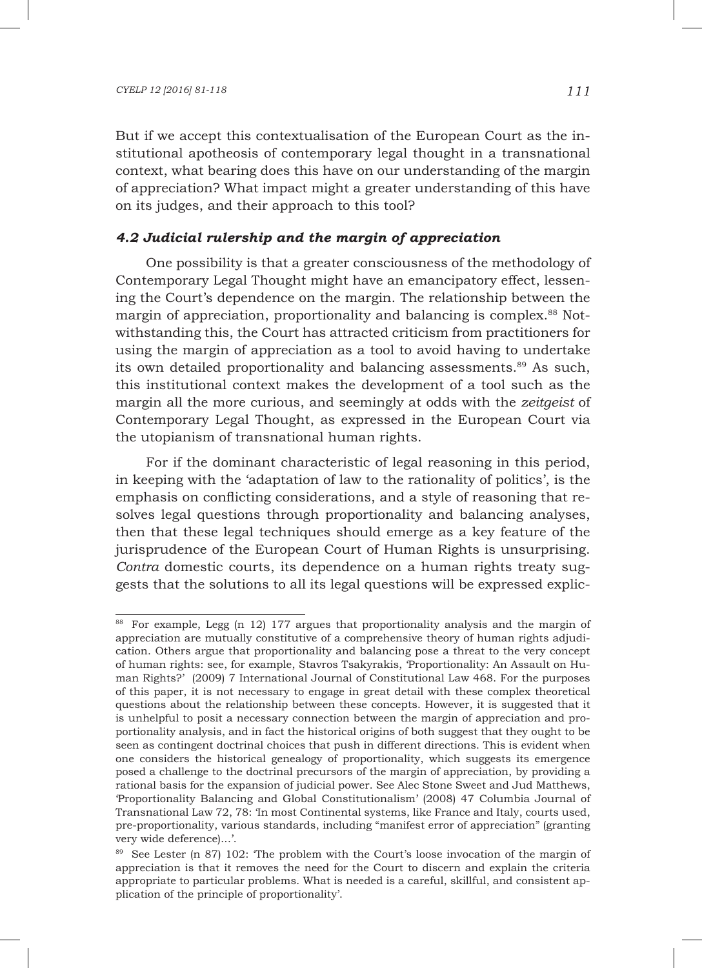But if we accept this contextualisation of the European Court as the institutional apotheosis of contemporary legal thought in a transnational context, what bearing does this have on our understanding of the margin of appreciation? What impact might a greater understanding of this have on its judges, and their approach to this tool?

### *4.2 Judicial rulership and the margin of appreciation*

One possibility is that a greater consciousness of the methodology of Contemporary Legal Thought might have an emancipatory effect, lessening the Court's dependence on the margin. The relationship between the margin of appreciation, proportionality and balancing is complex.<sup>88</sup> Notwithstanding this, the Court has attracted criticism from practitioners for using the margin of appreciation as a tool to avoid having to undertake its own detailed proportionality and balancing assessments.<sup>89</sup> As such, this institutional context makes the development of a tool such as the margin all the more curious, and seemingly at odds with the *zeitgeist* of Contemporary Legal Thought, as expressed in the European Court via the utopianism of transnational human rights.

For if the dominant characteristic of legal reasoning in this period, in keeping with the 'adaptation of law to the rationality of politics', is the emphasis on conflicting considerations, and a style of reasoning that resolves legal questions through proportionality and balancing analyses, then that these legal techniques should emerge as a key feature of the jurisprudence of the European Court of Human Rights is unsurprising. *Contra* domestic courts, its dependence on a human rights treaty suggests that the solutions to all its legal questions will be expressed explic-

<sup>88</sup> For example, Legg (n 12) 177 argues that proportionality analysis and the margin of appreciation are mutually constitutive of a comprehensive theory of human rights adjudication. Others argue that proportionality and balancing pose a threat to the very concept of human rights: see, for example, Stavros Tsakyrakis, 'Proportionality: An Assault on Human Rights?' (2009) 7 International Journal of Constitutional Law 468. For the purposes of this paper, it is not necessary to engage in great detail with these complex theoretical questions about the relationship between these concepts. However, it is suggested that it is unhelpful to posit a necessary connection between the margin of appreciation and proportionality analysis, and in fact the historical origins of both suggest that they ought to be seen as contingent doctrinal choices that push in different directions. This is evident when one considers the historical genealogy of proportionality, which suggests its emergence posed a challenge to the doctrinal precursors of the margin of appreciation, by providing a rational basis for the expansion of judicial power. See Alec Stone Sweet and Jud Matthews, 'Proportionality Balancing and Global Constitutionalism' (2008) 47 Columbia Journal of Transnational Law 72, 78: 'In most Continental systems, like France and Italy, courts used, pre-proportionality, various standards, including "manifest error of appreciation" (granting very wide deference)...'.

<sup>&</sup>lt;sup>89</sup> See Lester (n 87) 102: The problem with the Court's loose invocation of the margin of appreciation is that it removes the need for the Court to discern and explain the criteria appropriate to particular problems. What is needed is a careful, skillful, and consistent application of the principle of proportionality'.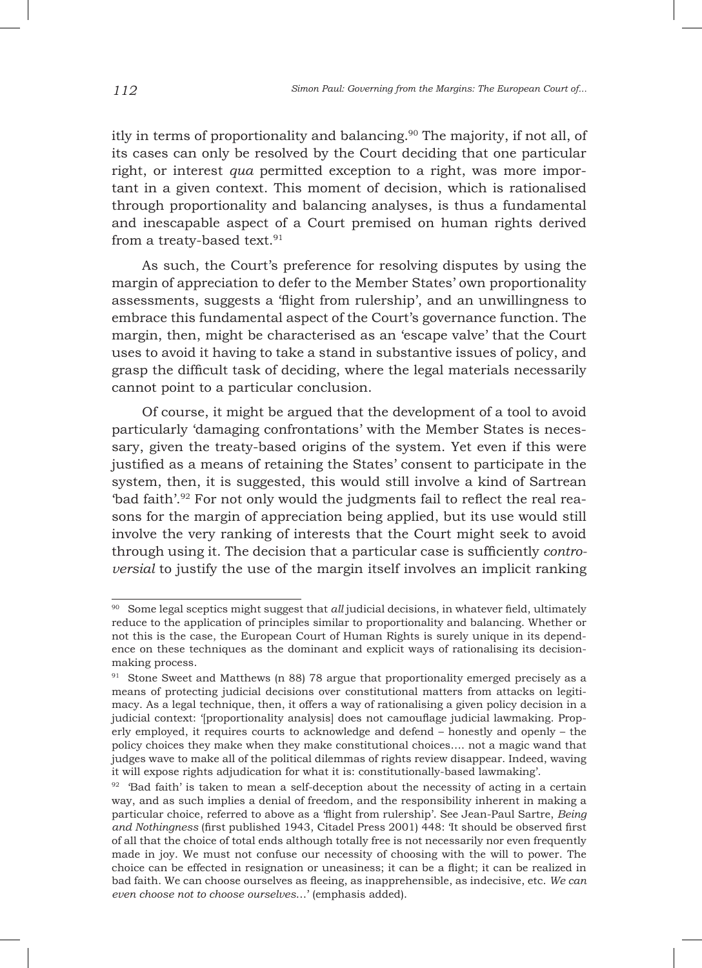itly in terms of proportionality and balancing.90 The majority, if not all, of its cases can only be resolved by the Court deciding that one particular right, or interest *qua* permitted exception to a right, was more important in a given context. This moment of decision, which is rationalised through proportionality and balancing analyses, is thus a fundamental and inescapable aspect of a Court premised on human rights derived from a treaty-based text.<sup>91</sup>

As such, the Court's preference for resolving disputes by using the margin of appreciation to defer to the Member States' own proportionality assessments, suggests a 'flight from rulership', and an unwillingness to embrace this fundamental aspect of the Court's governance function. The margin, then, might be characterised as an 'escape valve' that the Court uses to avoid it having to take a stand in substantive issues of policy, and grasp the difficult task of deciding, where the legal materials necessarily cannot point to a particular conclusion.

Of course, it might be argued that the development of a tool to avoid particularly 'damaging confrontations' with the Member States is necessary, given the treaty-based origins of the system. Yet even if this were justified as a means of retaining the States' consent to participate in the system, then, it is suggested, this would still involve a kind of Sartrean 'bad faith'.92 For not only would the judgments fail to reflect the real reasons for the margin of appreciation being applied, but its use would still involve the very ranking of interests that the Court might seek to avoid through using it. The decision that a particular case is sufficiently *controversial* to justify the use of the margin itself involves an implicit ranking

<sup>90</sup> Some legal sceptics might suggest that *all* judicial decisions, in whatever field, ultimately reduce to the application of principles similar to proportionality and balancing. Whether or not this is the case, the European Court of Human Rights is surely unique in its dependence on these techniques as the dominant and explicit ways of rationalising its decisionmaking process.

<sup>&</sup>lt;sup>91</sup> Stone Sweet and Matthews (n 88) 78 argue that proportionality emerged precisely as a means of protecting judicial decisions over constitutional matters from attacks on legitimacy. As a legal technique, then, it offers a way of rationalising a given policy decision in a judicial context: '[proportionality analysis] does not camouflage judicial lawmaking. Properly employed, it requires courts to acknowledge and defend – honestly and openly – the policy choices they make when they make constitutional choices…. not a magic wand that judges wave to make all of the political dilemmas of rights review disappear. Indeed, waving it will expose rights adjudication for what it is: constitutionally-based lawmaking'.

 $92$  'Bad faith' is taken to mean a self-deception about the necessity of acting in a certain way, and as such implies a denial of freedom, and the responsibility inherent in making a particular choice, referred to above as a 'flight from rulership'. See Jean-Paul Sartre, *Being and Nothingness* (first published 1943, Citadel Press 2001) 448: 'It should be observed first of all that the choice of total ends although totally free is not necessarily nor even frequently made in joy. We must not confuse our necessity of choosing with the will to power. The choice can be effected in resignation or uneasiness; it can be a flight; it can be realized in bad faith. We can choose ourselves as fleeing, as inapprehensible, as indecisive, etc. *We can even choose not to choose ourselves*…' (emphasis added).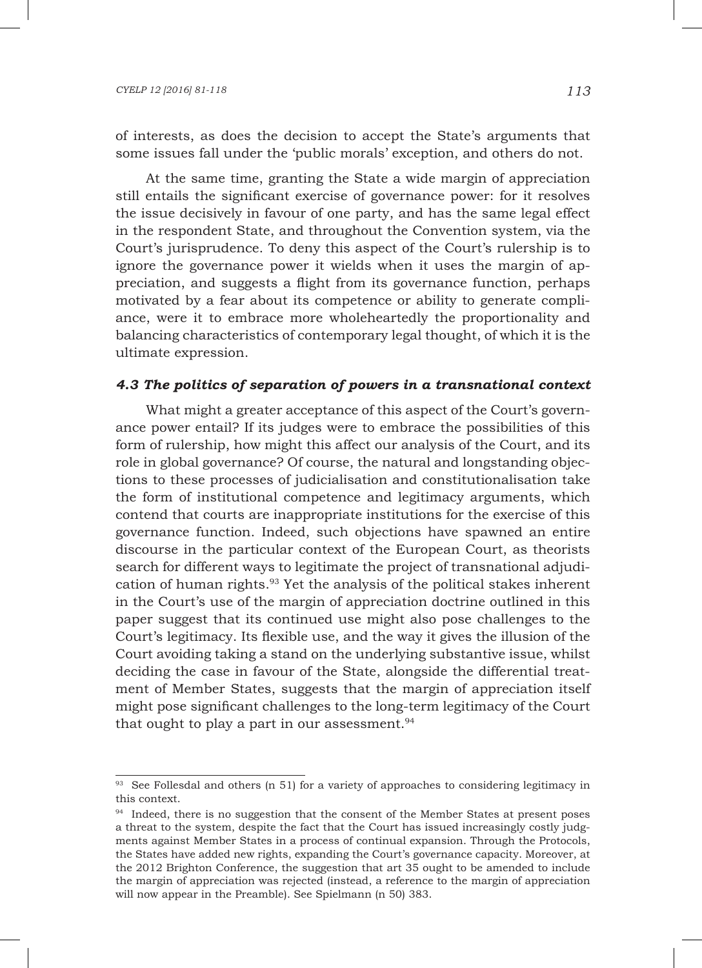of interests, as does the decision to accept the State's arguments that some issues fall under the 'public morals' exception, and others do not.

At the same time, granting the State a wide margin of appreciation still entails the significant exercise of governance power: for it resolves the issue decisively in favour of one party, and has the same legal effect in the respondent State, and throughout the Convention system, via the Court's jurisprudence. To deny this aspect of the Court's rulership is to ignore the governance power it wields when it uses the margin of appreciation, and suggests a flight from its governance function, perhaps motivated by a fear about its competence or ability to generate compliance, were it to embrace more wholeheartedly the proportionality and balancing characteristics of contemporary legal thought, of which it is the ultimate expression.

### *4.3 The politics of separation of powers in a transnational context*

What might a greater acceptance of this aspect of the Court's governance power entail? If its judges were to embrace the possibilities of this form of rulership, how might this affect our analysis of the Court, and its role in global governance? Of course, the natural and longstanding objections to these processes of judicialisation and constitutionalisation take the form of institutional competence and legitimacy arguments, which contend that courts are inappropriate institutions for the exercise of this governance function. Indeed, such objections have spawned an entire discourse in the particular context of the European Court, as theorists search for different ways to legitimate the project of transnational adjudication of human rights.93 Yet the analysis of the political stakes inherent in the Court's use of the margin of appreciation doctrine outlined in this paper suggest that its continued use might also pose challenges to the Court's legitimacy. Its flexible use, and the way it gives the illusion of the Court avoiding taking a stand on the underlying substantive issue, whilst deciding the case in favour of the State, alongside the differential treatment of Member States, suggests that the margin of appreciation itself might pose significant challenges to the long-term legitimacy of the Court that ought to play a part in our assessment. $94$ 

 $93$  See Follesdal and others (n 51) for a variety of approaches to considering legitimacy in this context.

<sup>&</sup>lt;sup>94</sup> Indeed, there is no suggestion that the consent of the Member States at present poses a threat to the system, despite the fact that the Court has issued increasingly costly judgments against Member States in a process of continual expansion. Through the Protocols, the States have added new rights, expanding the Court's governance capacity. Moreover, at the 2012 Brighton Conference, the suggestion that art 35 ought to be amended to include the margin of appreciation was rejected (instead, a reference to the margin of appreciation will now appear in the Preamble). See Spielmann (n 50) 383.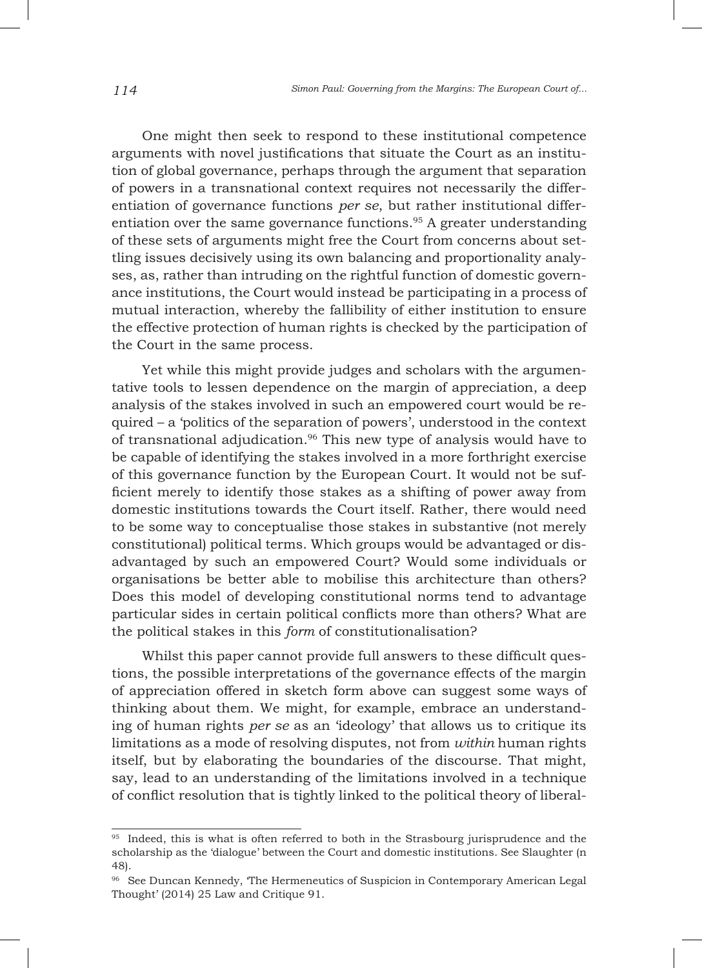One might then seek to respond to these institutional competence arguments with novel justifications that situate the Court as an institution of global governance, perhaps through the argument that separation of powers in a transnational context requires not necessarily the differentiation of governance functions *per se*, but rather institutional differentiation over the same governance functions.<sup>95</sup> A greater understanding of these sets of arguments might free the Court from concerns about settling issues decisively using its own balancing and proportionality analyses, as, rather than intruding on the rightful function of domestic governance institutions, the Court would instead be participating in a process of mutual interaction, whereby the fallibility of either institution to ensure the effective protection of human rights is checked by the participation of the Court in the same process.

Yet while this might provide judges and scholars with the argumentative tools to lessen dependence on the margin of appreciation, a deep analysis of the stakes involved in such an empowered court would be required – a 'politics of the separation of powers', understood in the context of transnational adjudication.<sup>96</sup> This new type of analysis would have to be capable of identifying the stakes involved in a more forthright exercise of this governance function by the European Court. It would not be sufficient merely to identify those stakes as a shifting of power away from domestic institutions towards the Court itself. Rather, there would need to be some way to conceptualise those stakes in substantive (not merely constitutional) political terms. Which groups would be advantaged or disadvantaged by such an empowered Court? Would some individuals or organisations be better able to mobilise this architecture than others? Does this model of developing constitutional norms tend to advantage particular sides in certain political conflicts more than others? What are the political stakes in this *form* of constitutionalisation?

Whilst this paper cannot provide full answers to these difficult questions, the possible interpretations of the governance effects of the margin of appreciation offered in sketch form above can suggest some ways of thinking about them. We might, for example, embrace an understanding of human rights *per se* as an 'ideology' that allows us to critique its limitations as a mode of resolving disputes, not from *within* human rights itself, but by elaborating the boundaries of the discourse. That might, say, lead to an understanding of the limitations involved in a technique of conflict resolution that is tightly linked to the political theory of liberal-

<sup>&</sup>lt;sup>95</sup> Indeed, this is what is often referred to both in the Strasbourg jurisprudence and the scholarship as the 'dialogue' between the Court and domestic institutions. See Slaughter (n 48).

<sup>96</sup> See Duncan Kennedy, 'The Hermeneutics of Suspicion in Contemporary American Legal Thought' (2014) 25 Law and Critique 91.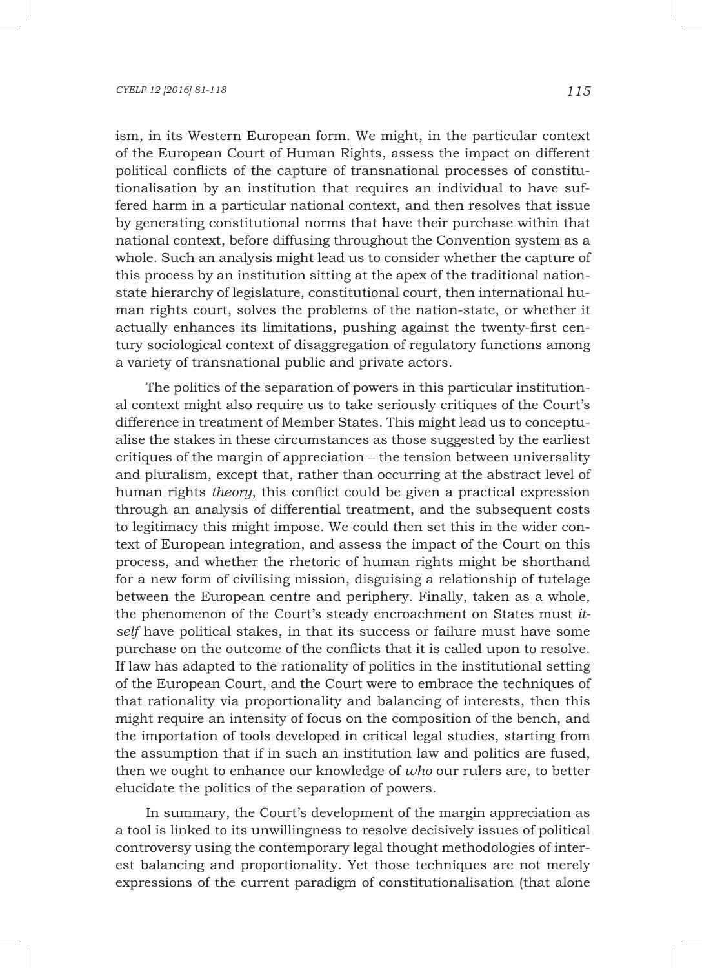ism, in its Western European form. We might, in the particular context of the European Court of Human Rights, assess the impact on different political conflicts of the capture of transnational processes of constitutionalisation by an institution that requires an individual to have suffered harm in a particular national context, and then resolves that issue by generating constitutional norms that have their purchase within that national context, before diffusing throughout the Convention system as a whole. Such an analysis might lead us to consider whether the capture of this process by an institution sitting at the apex of the traditional nationstate hierarchy of legislature, constitutional court, then international human rights court, solves the problems of the nation-state, or whether it actually enhances its limitations, pushing against the twenty-first century sociological context of disaggregation of regulatory functions among a variety of transnational public and private actors.

The politics of the separation of powers in this particular institutional context might also require us to take seriously critiques of the Court's difference in treatment of Member States. This might lead us to conceptualise the stakes in these circumstances as those suggested by the earliest critiques of the margin of appreciation – the tension between universality and pluralism, except that, rather than occurring at the abstract level of human rights *theory*, this conflict could be given a practical expression through an analysis of differential treatment, and the subsequent costs to legitimacy this might impose. We could then set this in the wider context of European integration, and assess the impact of the Court on this process, and whether the rhetoric of human rights might be shorthand for a new form of civilising mission, disguising a relationship of tutelage between the European centre and periphery. Finally, taken as a whole, the phenomenon of the Court's steady encroachment on States must *itself* have political stakes, in that its success or failure must have some purchase on the outcome of the conflicts that it is called upon to resolve. If law has adapted to the rationality of politics in the institutional setting of the European Court, and the Court were to embrace the techniques of that rationality via proportionality and balancing of interests, then this might require an intensity of focus on the composition of the bench, and the importation of tools developed in critical legal studies, starting from the assumption that if in such an institution law and politics are fused, then we ought to enhance our knowledge of *who* our rulers are, to better elucidate the politics of the separation of powers.

In summary, the Court's development of the margin appreciation as a tool is linked to its unwillingness to resolve decisively issues of political controversy using the contemporary legal thought methodologies of interest balancing and proportionality. Yet those techniques are not merely expressions of the current paradigm of constitutionalisation (that alone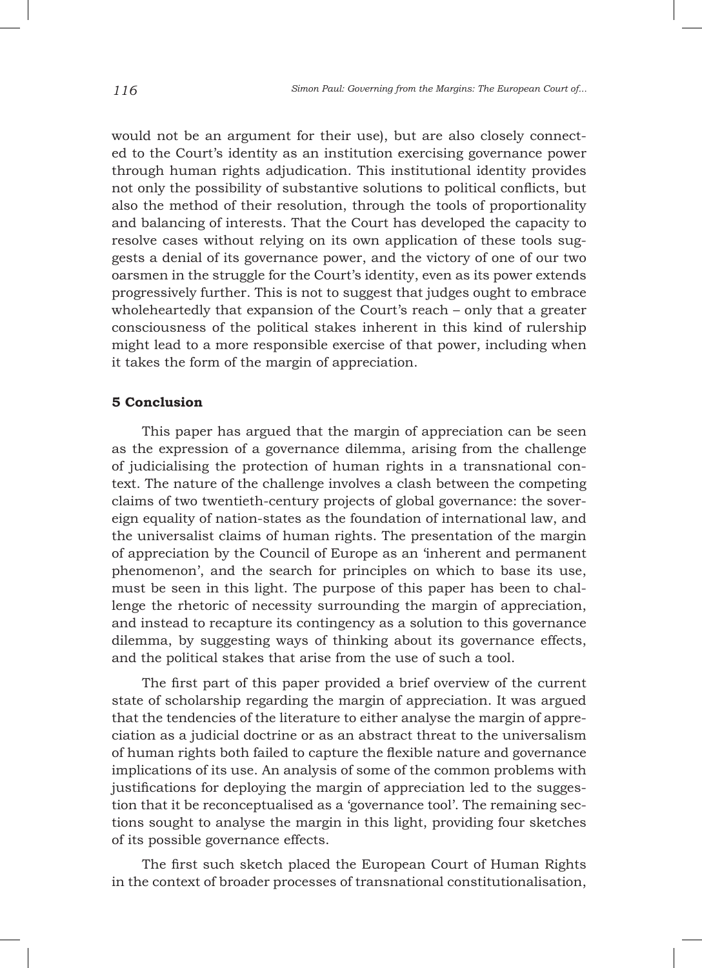would not be an argument for their use), but are also closely connected to the Court's identity as an institution exercising governance power through human rights adjudication. This institutional identity provides not only the possibility of substantive solutions to political conflicts, but also the method of their resolution, through the tools of proportionality and balancing of interests. That the Court has developed the capacity to resolve cases without relying on its own application of these tools suggests a denial of its governance power, and the victory of one of our two oarsmen in the struggle for the Court's identity, even as its power extends progressively further. This is not to suggest that judges ought to embrace wholeheartedly that expansion of the Court's reach – only that a greater consciousness of the political stakes inherent in this kind of rulership might lead to a more responsible exercise of that power, including when it takes the form of the margin of appreciation.

### **5 Conclusion**

This paper has argued that the margin of appreciation can be seen as the expression of a governance dilemma, arising from the challenge of judicialising the protection of human rights in a transnational context. The nature of the challenge involves a clash between the competing claims of two twentieth-century projects of global governance: the sovereign equality of nation-states as the foundation of international law, and the universalist claims of human rights. The presentation of the margin of appreciation by the Council of Europe as an 'inherent and permanent phenomenon', and the search for principles on which to base its use, must be seen in this light. The purpose of this paper has been to challenge the rhetoric of necessity surrounding the margin of appreciation, and instead to recapture its contingency as a solution to this governance dilemma, by suggesting ways of thinking about its governance effects, and the political stakes that arise from the use of such a tool.

The first part of this paper provided a brief overview of the current state of scholarship regarding the margin of appreciation. It was argued that the tendencies of the literature to either analyse the margin of appreciation as a judicial doctrine or as an abstract threat to the universalism of human rights both failed to capture the flexible nature and governance implications of its use. An analysis of some of the common problems with justifications for deploying the margin of appreciation led to the suggestion that it be reconceptualised as a 'governance tool'. The remaining sections sought to analyse the margin in this light, providing four sketches of its possible governance effects.

The first such sketch placed the European Court of Human Rights in the context of broader processes of transnational constitutionalisation,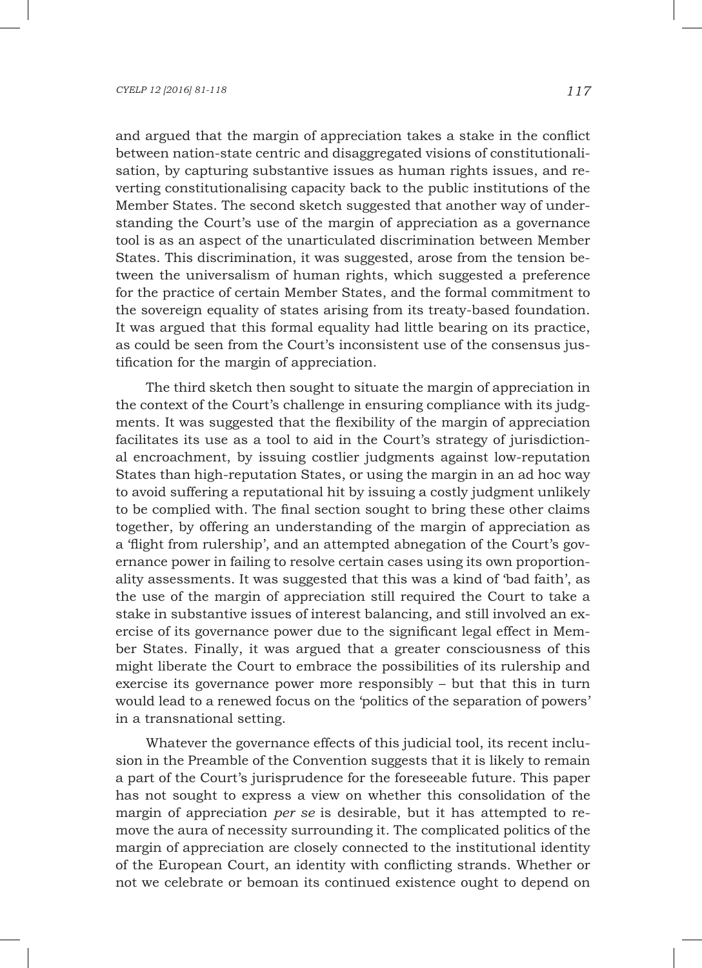and argued that the margin of appreciation takes a stake in the conflict between nation-state centric and disaggregated visions of constitutionalisation, by capturing substantive issues as human rights issues, and reverting constitutionalising capacity back to the public institutions of the Member States. The second sketch suggested that another way of understanding the Court's use of the margin of appreciation as a governance tool is as an aspect of the unarticulated discrimination between Member States. This discrimination, it was suggested, arose from the tension between the universalism of human rights, which suggested a preference for the practice of certain Member States, and the formal commitment to the sovereign equality of states arising from its treaty-based foundation. It was argued that this formal equality had little bearing on its practice, as could be seen from the Court's inconsistent use of the consensus justification for the margin of appreciation.

The third sketch then sought to situate the margin of appreciation in the context of the Court's challenge in ensuring compliance with its judgments. It was suggested that the flexibility of the margin of appreciation facilitates its use as a tool to aid in the Court's strategy of jurisdictional encroachment, by issuing costlier judgments against low-reputation States than high-reputation States, or using the margin in an ad hoc way to avoid suffering a reputational hit by issuing a costly judgment unlikely to be complied with. The final section sought to bring these other claims together, by offering an understanding of the margin of appreciation as a 'flight from rulership', and an attempted abnegation of the Court's governance power in failing to resolve certain cases using its own proportionality assessments. It was suggested that this was a kind of 'bad faith', as the use of the margin of appreciation still required the Court to take a stake in substantive issues of interest balancing, and still involved an exercise of its governance power due to the significant legal effect in Member States. Finally, it was argued that a greater consciousness of this might liberate the Court to embrace the possibilities of its rulership and exercise its governance power more responsibly – but that this in turn would lead to a renewed focus on the 'politics of the separation of powers' in a transnational setting.

Whatever the governance effects of this judicial tool, its recent inclusion in the Preamble of the Convention suggests that it is likely to remain a part of the Court's jurisprudence for the foreseeable future. This paper has not sought to express a view on whether this consolidation of the margin of appreciation *per se* is desirable, but it has attempted to remove the aura of necessity surrounding it. The complicated politics of the margin of appreciation are closely connected to the institutional identity of the European Court, an identity with conflicting strands. Whether or not we celebrate or bemoan its continued existence ought to depend on